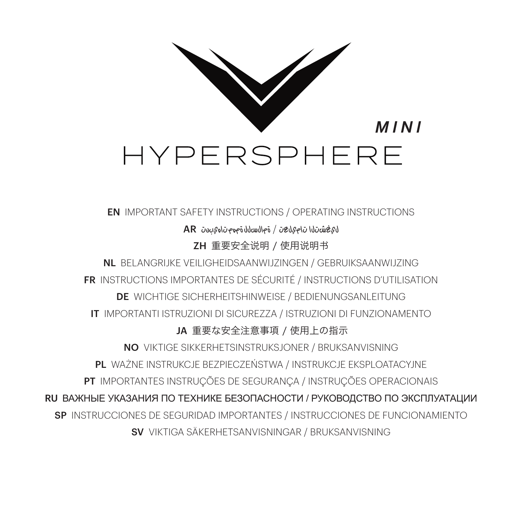

### EN IMPORTANT SAFETY INSTRUCTIONS / OPERATING INSTRUCTIONS

# ليغشتلا تاميلعت / ةمالسلل ةمهم تاهيبنت AR

ZH 重要安全说明 / 使用说明书

NL BELANGRIJKE VEILIGHEIDSAANWIJZINGEN / GEBRUIKSAANWIJZING FR INSTRUCTIONS IMPORTANTES DE SÉCURITÉ / INSTRUCTIONS D'UTILISATION

DE WICHTIGE SICHERHEITSHINWEISE / BEDIENUNGSANLEITUNG IT IMPORTANTI ISTRUZIONI DI SICUREZZA / ISTRUZIONI DI FUNZIONAMENTO

# JA 重要な安全注意事項 / 使用上の指示

NO VIKTIGE SIKKERHETSINSTRUKSJONER / BRUKSANVISNING

PL WAŻNE INSTRUKCJE BEZPIECZEŃSTWA / INSTRUKCJE EKSPLOATACYJNE

PT IMPORTANTES INSTRUÇÕES DE SEGURANÇA / INSTRUÇÕES OPERACIONAIS

RU ВАЖНЫЕ УКАЗАНИЯ ПО ТЕХНИКЕ БЕЗОПАСНОСТИ / РУКОВОДСТВО ПО ЭКСПЛУАТАЦИИ

SP INSTRUCCIONES DE SEGURIDAD IMPORTANTES / INSTRUCCIONES DE FUNCIONAMIENTO

SV VIKTIGA SÄKERHETSANVISNINGAR / BRUKSANVISNING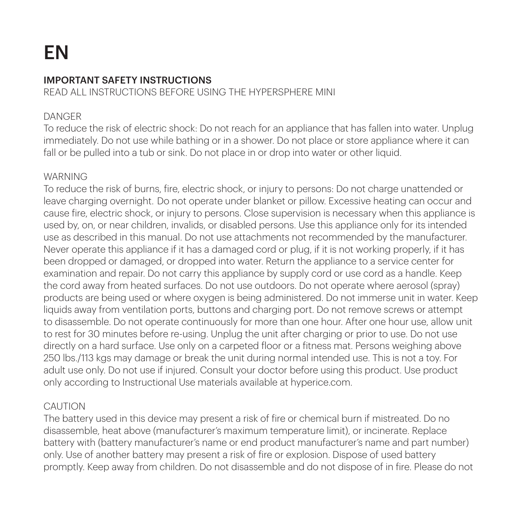# EN

### IMPORTANT SAFETY INSTRUCTIONS

READ ALL INSTRUCTIONS BEFORE USING THE HYPERSPHERE MINI

### DANGER

To reduce the risk of electric shock: Do not reach for an appliance that has fallen into water. Unplug immediately. Do not use while bathing or in a shower. Do not place or store appliance where it can fall or be pulled into a tub or sink. Do not place in or drop into water or other liquid.

### WARNING

To reduce the risk of burns, fire, electric shock, or injury to persons: Do not charge unattended or leave charging overnight. Do not operate under blanket or pillow. Excessive heating can occur and cause fire, electric shock, or injury to persons. Close supervision is necessary when this appliance is used by, on, or near children, invalids, or disabled persons. Use this appliance only for its intended use as described in this manual. Do not use attachments not recommended by the manufacturer. Never operate this appliance if it has a damaged cord or plug, if it is not working properly, if it has been dropped or damaged, or dropped into water. Return the appliance to a service center for examination and repair. Do not carry this appliance by supply cord or use cord as a handle. Keep the cord away from heated surfaces. Do not use outdoors. Do not operate where aerosol (spray) products are being used or where oxygen is being administered. Do not immerse unit in water. Keep liquids away from ventilation ports, buttons and charging port. Do not remove screws or attempt to disassemble. Do not operate continuously for more than one hour. After one hour use, allow unit to rest for 30 minutes before re-using. Unplug the unit after charging or prior to use. Do not use directly on a hard surface. Use only on a carpeted floor or a fitness mat. Persons weighing above 250 lbs./113 kgs may damage or break the unit during normal intended use. This is not a toy. For adult use only. Do not use if injured. Consult your doctor before using this product. Use product only according to Instructional Use materials available at hyperice.com.

### CAUTION

The battery used in this device may present a risk of fire or chemical burn if mistreated. Do no disassemble, heat above (manufacturer's maximum temperature limit), or incinerate. Replace battery with (battery manufacturer's name or end product manufacturer's name and part number) only. Use of another battery may present a risk of fire or explosion. Dispose of used battery promptly. Keep away from children. Do not disassemble and do not dispose of in fire. Please do not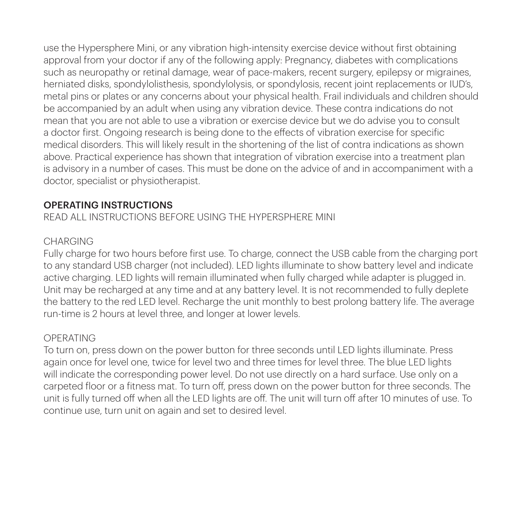use the Hypersphere Mini, or any vibration high-intensity exercise device without first obtaining approval from your doctor if any of the following apply: Pregnancy, diabetes with complications such as neuropathy or retinal damage, wear of pace-makers, recent surgery, epilepsy or migraines, herniated disks, spondylolisthesis, spondylolysis, or spondylosis, recent joint replacements or IUD's, metal pins or plates or any concerns about your physical health. Frail individuals and children should be accompanied by an adult when using any vibration device. These contra indications do not mean that you are not able to use a vibration or exercise device but we do advise you to consult a doctor first. Ongoing research is being done to the effects of vibration exercise for specific medical disorders. This will likely result in the shortening of the list of contra indications as shown above. Practical experience has shown that integration of vibration exercise into a treatment plan is advisory in a number of cases. This must be done on the advice of and in accompaniment with a doctor, specialist or physiotherapist.

### OPERATING INSTRUCTIONS

READ ALL INSTRUCTIONS BEFORE USING THE HYPERSPHERE MINI

### CHARGING

Fully charge for two hours before first use. To charge, connect the USB cable from the charging port to any standard USB charger (not included). LED lights illuminate to show battery level and indicate active charging. LED lights will remain illuminated when fully charged while adapter is plugged in. Unit may be recharged at any time and at any battery level. It is not recommended to fully deplete the battery to the red LED level. Recharge the unit monthly to best prolong battery life. The average run-time is 2 hours at level three, and longer at lower levels.

# OPERATING

To turn on, press down on the power button for three seconds until LED lights illuminate. Press again once for level one, twice for level two and three times for level three. The blue LED lights will indicate the corresponding power level. Do not use directly on a hard surface. Use only on a carpeted floor or a fitness mat. To turn off, press down on the power button for three seconds. The unit is fully turned off when all the LED lights are off. The unit will turn off after 10 minutes of use. To continue use, turn unit on again and set to desired level.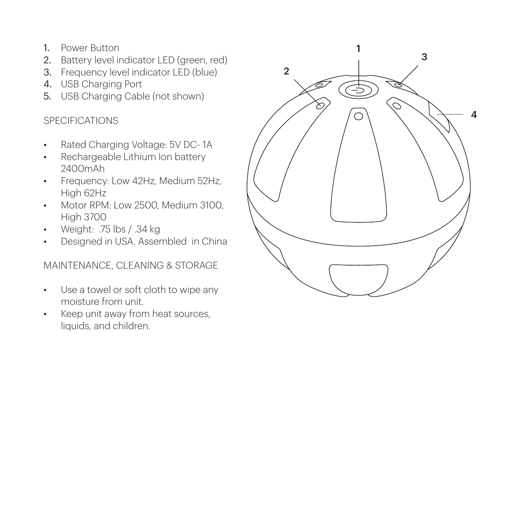- 1. Power Button
- 2. Battery level indicator LED (green, red)
- 3. Frequency level indicator LED (blue)
- 4. USB Charging Port
- 5. USB Charging Cable (not shown)

# **SPECIFICATIONS**

- Rated Charging Voltage: 5V DC- 1A
- Rechargeable Lithium Ion battery 2400mAh
- Frequency: Low 42Hz, Medium 52Hz, High 62Hz
- Motor RPM: Low 2500, Medium 3100. High 3700
- $\cdot$  Weight: 75 lbs / 34 kg
- Designed in USA. Assembled in China

# MAINTENANCE, CLEANING & STORAGE

- Use a towel or soft cloth to wipe any moisture from unit.
- Keep unit away from heat sources, liquids, and children.

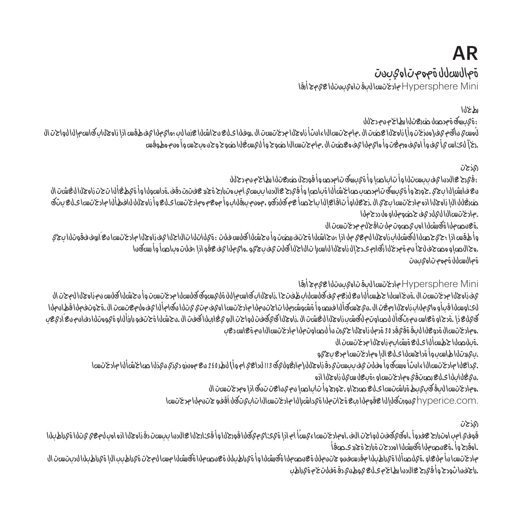# AR ةمالسلل ةمهم تاهيبنت Mini Hypersphere مادختسا لبق تاهيبنتلا عيمج أرقا

#### رطخلا

:ةيبرهك ةمدصل ضرعتلا رطاخم نم دحلل

ال كاما الله صالة باللوطنا بالمعلم عن المدخاس المنق المشاح و قال المعن الت وست و حالة بان ، والحسن المرحات المعانا أو هن المدخ الباسم المدخل المدخل المدخل المحاسب المدخل البي يم المدخل المسموعين المسموعين المسموعين المسمو . وخآ لدى اس فيأ فوق أواده وصغت وأ واقطيا فقرمغت الربطو وحن سال احتوج وأ اهسغلا اختوج هجره ويحتسروا هزم مطوقس

ريذحت

:قيرح عالدنا يف ببستلا وأ تاباصإ وأ ةيبرهك تامدص وأ قورحل ضرعتلا رطاخم نم دحلل نان شؤل الجعان كن الله في قام العصاء، مقد ترتبط وهن امب هترين اعتلالا كيرة أم لصل قال قير المبر صصحات قسروق أم جرير وجن الأبشارو في ضرع الإدارة المتحاد المتحادين ال .زجع العامل الأعدال باحصا في كلارتهم ، مهم برقابان وأ مهع ومادختر ساع العربية وأنهج المادختسا ىلع بيتكو .مادختسالا ليلد يف حضوملاو هل ددحملا

.ةعنصملا ةكرشلا اهب يصوت مل تاقحلم مدختست ال

والدائ وقفعوا فعاست كاره اتلاءان فواتلك انادا ناملكوة ، ديلف سابع اناشكه أو دنصوت واناشا كه ؛ ياه وجودا نادوانا وانصافها أناسكوته ؛ إذا يمها في أو .هحالصإو هصحف لجأ نم ةمدخلا زكارم ىدحإل زاهجلا لاسرإ تالاحلا كلت يف بجيو .هايملا يف عقو اذإ ؛فلت هباصأ وأ رسكنا ةمالسلل ةمهم تاهيبنت

Mini Hypersphere مادختسا لبق تاهيبنتلا عيمج أرقا

يل تحرير الزاهج من حسابة للشكورة وتست كود المسابقة كمسحابة بالوسابق بالزعمة للمسافر بالمسابق فعدوا المعارض المحت المحت المحت الحمارة ح للمسلم المسلم المعلم المعاوية المعتمر المسلم المسلم والمسلم المادختسا المادختسا المقدما المتوافق المعتملات المتحوتف المسلم المادية والمسلم المسلم المسلم المسلم المسلم المسلم المسلم المسلم المسلم المسلم المسلم المسلم المسل كيل المن الصادر المن المستقوم المن نم المستقول المن المستقول المستقول المن المستقول المستقول المستقول المستقول المستقول المستقول المستقول المستقول المستقول المستقول المستقول المستقول المستقول المستقول المستقول المستقول ال .همادختسال ةدوعلا لبق ةقيقد 30 ةدمل زاهجلا حيرت نأ لصاوتملا مادختسالا نم ةعاس دعب .ةبلصلا حطسألا ىلع ةرشابم زاهجلا مدختست ال

.بيردتلا طاسب وأ ةداجسلا ىلع الإ همادختسا مدع بجيو

. يديد اعلان هندان المادة أهدما هو بانت وأولينا 113 ماديا 113 ماديان المادية الطريقية وأرغولية معن مهندسا مادختسا

.نيغلابلا ىلع رصتقي همادختساو ؛ةبعل سيل زاهجلا اذه

.<br>همان البق كبيب البرق ت السابور العامل العلمي المتحدة العربية العناقية المعرفة العربية المركزية الأمر

.com.hyperice ينورتكلإلا عقوملا ربع ةحاتملا ةيداشرإلا مادختسالا تابيتكل اًقفو جتنملا مدختسا

ريذحت

الفيادة افترد جهوبا بواحتان الكوانة يتعسب لوبالغ انخارا وقيتاكم فاقتحوا يجرح انتها وأست نصرات المعامل والتواب المعكس باست والمناسب والمقر .اهقرح وأ ،ةعنصملا ةكرشلا اهددحت ةرارح ةجرد ىصقأ

مالديسا ماديان الملهادية بالاسطارية وتخويا اصو الرشرطة الراجص وقرابل لهاو أم الراض والمسافرة المساورة الأسارية والأبو أو اهتركة بالاقتصاد الأسمانية والشركة المساكة بالا .راجفنا ثودح وأ قيرح عالدنا رطاخم ىلع يوطني دق ةفلتخم ةيراطب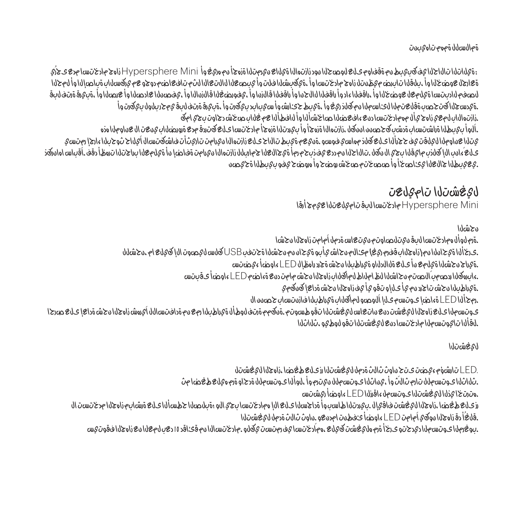ةمالسلل ةمهم تاهيبنت

:ةيلاتلا تالاحلا يف كبيبط نم ةقفاوم ىلع لوصحلا نود زازتهالا ةيلاع نيرمتلا ةزهجأ نم هريغ وأ Mini Hypersphere زاهج مادختسا مدع ىجرُي ة عارج المستخلفات أن الموضوع عمر ميظن التابر العوضلا وأسعار وأسعار أو يستخلفا الثم تابعات التعالي التي تابر التعالي المحليل وأن يستخلف التي يستخلف التي تابعات التي تافعات التعالي التي تافعالا التي تابعات التي تابعات التي قيبا فيتم قيعية أم لطصيغ أو اطحوها التوضيف أم اناليفنا قابلغ فورضا وأناقا الفقل أو امتحالنا الفقال أو ابراققال أو بيكونه وهو والخارج ، ومن الخطور أو ، ومن الخطور ، أم الكون والخورات الموسى ال .<br>أمريكا كتحصب قائل الأسواء المتوقع الأربية ، أمريكا كتاباب النول وأسيباب المستقرر في المجموع المستقرر بالمستقرر .زازتهالاب لمعي زاهج يأل مهمادختسا دنع ءافعضلا صاخشألا وأ لافطألا عم غلاب صخش دجاوت بجي امك .اًلوأ بيبطلا ةراشتساب ةدشب كحصنن اننكل ،زازتهالا ةزهجأ وأ بيردتلا ةزهجأ مادختسا ىلع كتردق مدع ةرورضلاب ينعت ال عناوملا هذه يتلا عناوملا للمليقت وفي حجرأ ليا عليه كوارد مهاسي فوسو . في مهام تاريخ عليه زازتها الرومامين تراويثران فاشكتس الأملياح ثوح بارا عادج استسع ، تقداما بعاديةاً، عق لمُعد اللاتحان العولية أو اخضاعة توابعه الإسراء الغيالجية أوروجية من تسريع الكامات. لقوبان جي الأقباص الأقباس الأمانية في الأسراء المنابر فقات .يعيبطلا جالعلا يئاصخأ وأ صصختم صخش روضح وأ هروضح يفو بيبطلا ةحيصن

# ليغشتلا تاميلعت

Mini Hypersphere مادختسا لبق تاميلعتلا عيمج أرقا

نحشلا

.ةرم لوأل همادختسا لبق نيتلصاوتم نيتعاس ةدمل اًمامت زاهجلا نحشا .ىرخألا ةيحانلا نم (زاهجلاب قفرم ريغ) مئالم نحاش يأبو ةيحان نم نحشلا ةحتفب USB كلس ليصوت الإ كيلع ام ،نحشلل .ةيراج نحشلا ةيلمع نأ ىلع ةلالدلاو ةيراطبلا نحش ةجرد راهظإل LED ءاوضأ ءيضتس .ءابرهكلا ردصمب ًالصتم نحاشلا لظ املاط لماكلاب زاهجلا نحش مامت دنع ةءاضم LED ءاوضأ ىقبتس .ةيراطبلا نحش تاجرد نم يأ ىلإو تقو يأ يف زاهجلا نحش ةداعإ كنكمي .رمحألا LED ةءاضإ ىوتسم ىلإ اًلوصو لماكلاب ةيراطبلا فازنتساب حصنن ال الكرمم قالى زهانة شاك بالقواز شوبوا فالمستقابة وبغض الميلاوة وأللها فترة وجوشة وتوسيل وقت لناتشقها ساقت مقت تشقها بالقوازقان الأصبوتين .لقألا تايوتسملا مادختسا دنع ليغشتلا تقو لوطيو ،ثلاثلا

ليغشتلا

 .LED تارشؤم ءيضت ىتح ٍناوث ثالث ةدمل ليغشتلا رز ىلع طغضا ،زاهجلا ليغشتل .ثلاثلا ىوتسملل تارم ثالث وأ ،يناثلا ىوتسملل نيترم وأ ،لوألا ىوتسملل ةدحاو ةرم هيلع طغضا مث .هترتخا يذلا ليغشتلا ىوتسمل ءاقرزلا LED ءاوضأ ريشتس رز من تصدر اللعقة ، بيران على المسب واليغضاء ، بيرودت العملان العام العلم المدخلين أصدر المعاملات المعاملات المدختست المدختست المدختست العملية ، وبلا يسب والمدختست المدختست المدختست المدختست المدختست المدختست المدختست الم .قلغُأ دق زاهجلا نوكي اًمامت LED ءاوضأ ئفطنت امدنعو ٍ.ناوث ثالث ةدمل ليغشتلا .<br>بوغرملا يوتسم التصادف الموتسم المقادرة معلومات المستقرر ، هما درجت المستقرر المعلومات المعلومات المعلومات المعلومات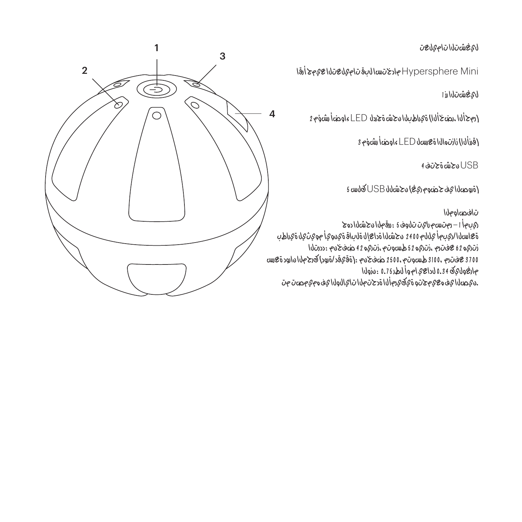ليغشتلا تاميلعت

Mini Hypersphere مادختسا لبق تاميلعتلا عيمج أرقا

ليغشتلا رز 1

(رمحألا ،رضخألا) ةيراطبلا نحش ةجردل LED ءاوضأ رشؤم 2

(قرزألا) زازتهالا ةعرسل LED ءاوضأ رشؤم 3

USB نحش ةحتف 4

(ةروصلا يف حضوم ريغ) نحشلل USB كلس 5

# تافصاوملا

رمان المتشكرة الأوقية : 5 نفوذ*ات توال* وست و 1 - 1 أبوب ةعاسلا/ريبمأ يللم 2400 نحشلا ةداعإل ةلباق ةينويأ مويثيل ةيراطب زتريه 62 عفترم ،زتريه 52 طسوتم ،زتريه 42 ضفخنم :ددرتلا 3700 عفترم 3100، طسوتم 2500، ضفخنم :(ةقيقد/ةرود) كرحملا نارود ةعرس مارغوليك 0.34 لداعي ام وأ لطر 0.75 :نزولا ت و تصوره ومن المالك تات الوت و تمام أوره قوة مت و و هو هو الصوره.

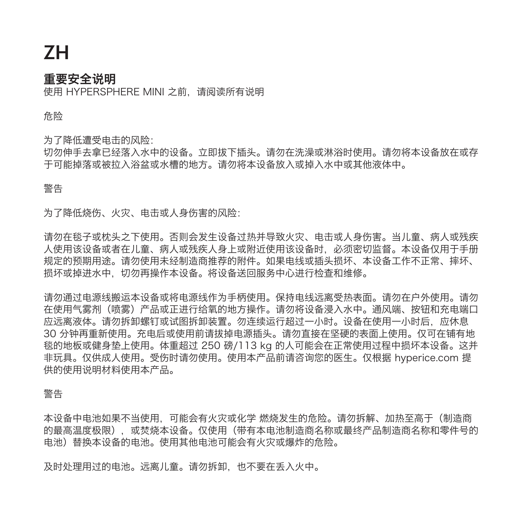# ZH

# 重要安全说明

使用 HYPERSPHERE MINI 之前,请阅读所有说明

危险

为了降低遭受电击的风险:

切勿伸手去拿已经落入水中的设备。立即拔下插头。请勿在洗澡或淋浴时使用。请勿将本设备放在或存 于可能掉落或被拉入浴盆或水槽的地方。请勿将本设备放入或掉入水中或其他液体中。

### 警告

为了降低烧伤、火灾、电击或人身伤害的风险:

请勿在毯子或枕头之下使用。否则会发生设备过热并导致火灾、电击或人身伤害。当儿童、病人或残疾 人使用该设备或者在儿童、病人或残疾人身上或附近使用该设备时,必须密切监督。本设备仅用于手册 规定的预期用途。请勿使用未经制造商推荐的附件。如果电线或插头损坏、本设备工作不正常、摔坏、 损坏或掉进水中,切勿再操作本设备。将设备送回服务中心进行检查和维修。

请勿通过电源线搬运本设备或将电源线作为手柄使用。保持电线远离受热表面。请勿在户外使用。请勿 在使用气雾剂(喷雾)产品或正进行给氧的地方操作。请勿将设备浸入水中。通风端、按钮和充电端口 应远离液体。请勿拆卸螺钉或试图拆卸装置。勿连续运行超过一小时。设备在使用一小时后,应休息 30 分钟再重新使用。充电后或使用前请拔掉电源插头。请勿直接在坚硬的表面上使用。仅可在铺有地 毯的地板或健身垫上使用。体重超过 250 磅/113 kg 的人可能会在正常使用过程中损坏本设备。这并 非玩具。仅供成人使用。受伤时请勿使用。使用本产品前请咨询您的医生。仅根据 hyperice.com 提 供的使用说明材料使用本产品。

### 警告

本设备中电池如果不当使用,可能会有火灾或化学 燃烧发生的危险。请勿拆解、加热至高于(制造商 的最高温度极限),或焚烧本设备。仅使用(带有本电池制造商名称或最终产品制造商名称和零件号的 电池)替换本设备的电池。使用其他电池可能会有火灾或爆炸的危险。

及时处理用过的电池。远离儿童。请勿拆卸,也不要在丢入火中。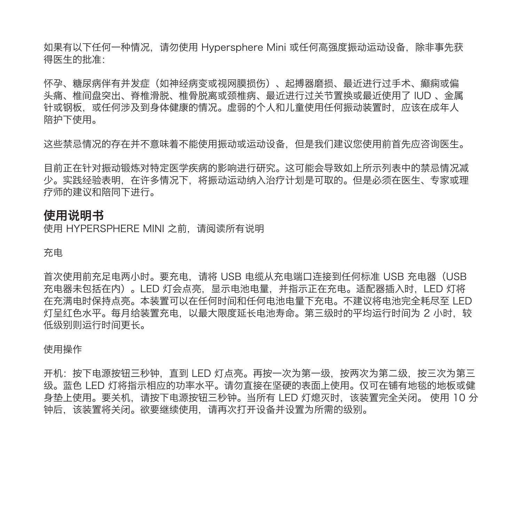如果有以下任何一种情况,请勿使用 Hypersphere Mini 或任何高强度振动运动设备,除非事先获 得医生的批准:

怀孕、糖尿病伴有并发症(如神经病变或视网膜损伤)、起搏器磨损、最近进行过手术、癫痫或偏 头痛、椎间盘突出、脊椎滑脱、椎骨脱离或颈椎病、最近进行过关节置换或最近使用了 IUD 、金属 针或钢板,或任何涉及到身体健康的情况。虚弱的个人和儿童使用任何振动装置时,应该在成年人 陪护下使用。

这些禁忌情况的存在并不意味着不能使用振动或运动设备,但是我们建议您使用前首先应咨询医生。

目前正在针对振动锻炼对特定医学疾病的影响进行研究。这可能会导致如上所示列表中的禁忌情况减 少。实践经验表明,在许多情况下,将振动运动纳入治疗计划是可取的。但是必须在医生、专家或理 疗师的建议和陪同下进行。

## 使用说明书

使用 HYPERSPHERE MINI 之前, 请阅读所有说明

充电

首次使用前充足电两小时。要充电,请将 USB 电缆从充电端口连接到任何标准 USB 充电器(USB 充电器未包括在内)。LED 灯会点亮,显示电池电量,并指示正在充电。适配器插入时,LED 灯将 在充满电时保持点亮。本装置可以在任何时间和任何电池电量下充电。不建议将电池完全耗尽至 LED 灯呈红色水平。每月给装置充电,以最大限度延长电池寿命。第三级时的平均运行时间为 2 小时,较 低级别则运行时间更长。

使用操作

开机:按下电源按钮三秒钟,直到 LED 灯点亮。再按一次为第一级,按两次为第二级,按三次为第三 级。蓝色 LED 灯将指示相应的功率水平。请勿直接在坚硬的表面上使用。仅可在铺有地毯的地板或健 身垫上使用。要关机,请按下电源按钮三秒钟。当所有 LED 灯熄灭时,该装置完全关闭。 使用 10 分 钟后,该装置将关闭。欲要继续使用,请再次打开设备并设置为所需的级别。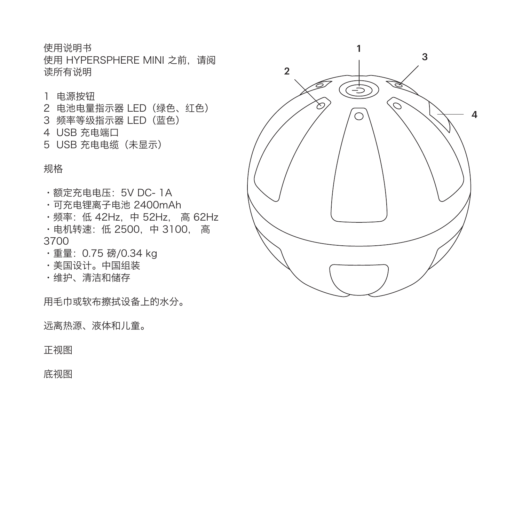使用说明书 使用 HYPERSPHERE MINI 之前,请阅 读所有说明

### 1 电源按钮

- 2 电池电量指示器 LED(绿色、红色) 3 频率等级指示器 LED(蓝色) 4 USB 充电端口
- 5 USB 充电电缆(未显示)

规格

•额定充电电压:5V DC- 1A

- •可充电锂离子电池 2400mAh
- •频率:低 42Hz,中 52Hz, 高 62Hz •电机转速:低 2500,中 3100, 高

3700

- •重量:0.75 磅/0.34 kg
- •美国设计。中国组装
- •维护、清洁和储存

用毛巾或软布擦拭设备上的水分。

远离热源、液体和儿童。

正视图

底视图

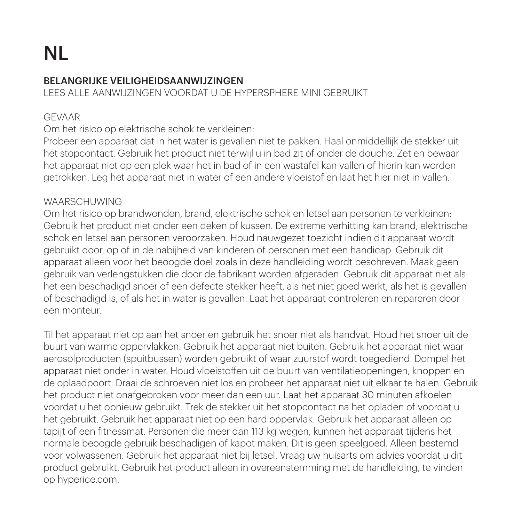# NL

### BELANGRIJKE VEILIGHEIDSAANWIJZINGEN

LEES ALLE AANWIJZINGEN VOORDAT U DE HYPERSPHERE MINI GEBRUIKT

## GEVAAR

Om het risico op elektrische schok te verkleinen:

Probeer een apparaat dat in het water is gevallen niet te pakken. Haal onmiddellijk de stekker uit het stopcontact. Gebruik het product niet terwijl u in bad zit of onder de douche. Zet en bewaar het apparaat niet op een plek waar het in bad of in een wastafel kan vallen of hierin kan worden getrokken. Leg het apparaat niet in water of een andere vloeistof en laat het hier niet in vallen.

# WAARSCHUWING

Om het risico op brandwonden, brand, elektrische schok en letsel aan personen te verkleinen: Gebruik het product niet onder een deken of kussen. De extreme verhitting kan brand, elektrische schok en letsel aan personen veroorzaken. Houd nauwgezet toezicht indien dit apparaat wordt gebruikt door, op of in de nabijheid van kinderen of personen met een handicap. Gebruik dit apparaat alleen voor het beoogde doel zoals in deze handleiding wordt beschreven. Maak geen gebruik van verlengstukken die door de fabrikant worden afgeraden. Gebruik dit apparaat niet als het een beschadigd snoer of een defecte stekker heeft, als het niet goed werkt, als het is gevallen of beschadigd is, of als het in water is gevallen. Laat het apparaat controleren en repareren door een monteur.

Til het apparaat niet op aan het snoer en gebruik het snoer niet als handvat. Houd het snoer uit de buurt van warme oppervlakken. Gebruik het apparaat niet buiten. Gebruik het apparaat niet waar aerosolproducten (spuitbussen) worden gebruikt of waar zuurstof wordt toegediend. Dompel het apparaat niet onder in water. Houd vloeistoffen uit de buurt van ventilatieopeningen, knoppen en de oplaadpoort. Draai de schroeven niet los en probeer het apparaat niet uit elkaar te halen. Gebruik het product niet onafgebroken voor meer dan een uur. Laat het apparaat 30 minuten afkoelen voordat u het opnieuw gebruikt. Trek de stekker uit het stopcontact na het opladen of voordat u het gebruikt. Gebruik het apparaat niet op een hard oppervlak. Gebruik het apparaat alleen op tapijt of een fitnessmat. Personen die meer dan 113 kg wegen, kunnen het apparaat tijdens het normale beoogde gebruik beschadigen of kapot maken. Dit is geen speelgoed. Alleen bestemd voor volwassenen. Gebruik het apparaat niet bij letsel. Vraag uw huisarts om advies voordat u dit product gebruikt. Gebruik het product alleen in overeenstemming met de handleiding, te vinden op hyperice.com.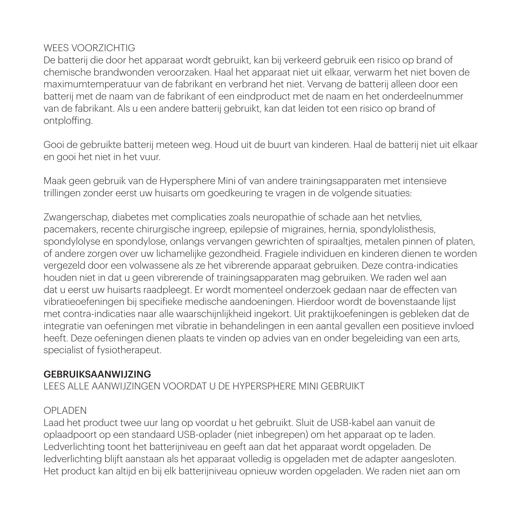### WEES VOORZICHTIG

De batterij die door het apparaat wordt gebruikt, kan bij verkeerd gebruik een risico op brand of chemische brandwonden veroorzaken. Haal het apparaat niet uit elkaar, verwarm het niet boven de maximumtemperatuur van de fabrikant en verbrand het niet. Vervang de batterij alleen door een batterij met de naam van de fabrikant of een eindproduct met de naam en het onderdeelnummer van de fabrikant. Als u een andere batterij gebruikt, kan dat leiden tot een risico op brand of ontploffing.

Gooi de gebruikte batterij meteen weg. Houd uit de buurt van kinderen. Haal de batterij niet uit elkaar en gooi het niet in het vuur.

Maak geen gebruik van de Hypersphere Mini of van andere trainingsapparaten met intensieve trillingen zonder eerst uw huisarts om goedkeuring te vragen in de volgende situaties:

Zwangerschap, diabetes met complicaties zoals neuropathie of schade aan het netvlies, pacemakers, recente chirurgische ingreep, epilepsie of migraines, hernia, spondylolisthesis, spondylolyse en spondylose, onlangs vervangen gewrichten of spiraalties, metalen pinnen of platen, of andere zorgen over uw lichamelijke gezondheid. Fragiele individuen en kinderen dienen te worden vergezeld door een volwassene als ze het vibrerende apparaat gebruiken. Deze contra-indicaties houden niet in dat u geen vibrerende of trainingsapparaten mag gebruiken. We raden wel aan dat u eerst uw huisarts raadpleegt. Er wordt momenteel onderzoek gedaan naar de effecten van vibratieoefeningen bij specifieke medische aandoeningen. Hierdoor wordt de bovenstaande lijst met contra-indicaties naar alle waarschijnlijkheid ingekort. Uit praktijkoefeningen is gebleken dat de integratie van oefeningen met vibratie in behandelingen in een aantal gevallen een positieve invloed heeft. Deze oefeningen dienen plaats te vinden op advies van en onder begeleiding van een arts, specialist of fysiotherapeut.

### GEBRUIKSAANWIJZING

LEES ALLE AANWIJZINGEN VOORDAT U DE HYPERSPHERE MINI GEBRUIKT

# OPLADEN

Laad het product twee uur lang op voordat u het gebruikt. Sluit de USB-kabel aan vanuit de oplaadpoort op een standaard USB-oplader (niet inbegrepen) om het apparaat op te laden. Ledverlichting toont het batterijniveau en geeft aan dat het apparaat wordt opgeladen. De ledverlichting blijft aanstaan als het apparaat volledig is opgeladen met de adapter aangesloten. Het product kan altijd en bij elk batterijniveau opnieuw worden opgeladen. We raden niet aan om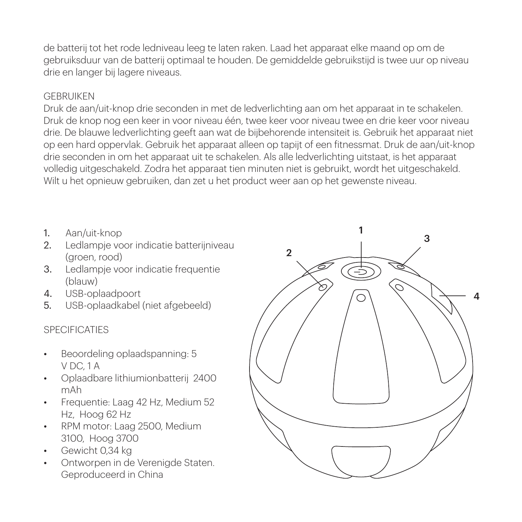de batterij tot het rode ledniveau leeg te laten raken. Laad het apparaat elke maand op om de gebruiksduur van de batterij optimaal te houden. De gemiddelde gebruikstijd is twee uur op niveau drie en langer bij lagere niveaus.

### GEBRUIKEN

Druk de aan/uit-knop drie seconden in met de ledverlichting aan om het apparaat in te schakelen. Druk de knop nog een keer in voor niveau één, twee keer voor niveau twee en drie keer voor niveau drie. De blauwe ledverlichting geeft aan wat de bijbehorende intensiteit is. Gebruik het apparaat niet op een hard oppervlak. Gebruik het apparaat alleen op tapijt of een fitnessmat. Druk de aan/uit-knop drie seconden in om het apparaat uit te schakelen. Als alle ledverlichting uitstaat, is het apparaat volledig uitgeschakeld. Zodra het apparaat tien minuten niet is gebruikt, wordt het uitgeschakeld. Wilt u het opnieuw gebruiken, dan zet u het product weer aan op het gewenste niveau.

- 1. Aan/uit-knop
- 2. Ledlampje voor indicatie batterijniveau (groen, rood)
- 3. Ledlampje voor indicatie frequentie (blauw)
- 4. USB-oplaadpoort
- 5. USB-oplaadkabel (niet afgebeeld)

### SPECIFICATIES

- Beoordeling oplaadspanning: 5 V DC, 1 A
- Oplaadbare lithiumionbatterij 2400 mAh
- Frequentie: Laag 42 Hz, Medium 52 Hz, Hoog 62 Hz
- RPM motor: Laag 2500, Medium 3100, Hoog 3700
- Gewicht 0,34 kg
- Ontworpen in de Verenigde Staten. Geproduceerd in China

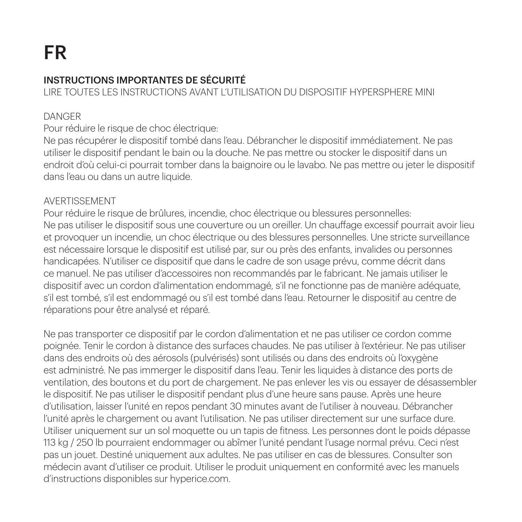# INSTRUCTIONS IMPORTANTES DE SÉCURITÉ

LIRE TOUTES LES INSTRUCTIONS AVANT L'UTILISATION DU DISPOSITIF HYPERSPHERE MINI

# DANGER

Pour réduire le risque de choc électrique:

Ne pas récupérer le dispositif tombé dans l'eau. Débrancher le dispositif immédiatement. Ne pas utiliser le dispositif pendant le bain ou la douche. Ne pas mettre ou stocker le dispositif dans un endroit d'où celui-ci pourrait tomber dans la baignoire ou le lavabo. Ne pas mettre ou jeter le dispositif dans l'eau ou dans un autre liquide.

### AVERTISSEMENT

Pour réduire le risque de brûlures, incendie, choc électrique ou blessures personnelles: Ne pas utiliser le dispositif sous une couverture ou un oreiller. Un chauffage excessif pourrait avoir lieu et provoquer un incendie, un choc électrique ou des blessures personnelles. Une stricte surveillance est nécessaire lorsque le dispositif est utilisé par, sur ou près des enfants, invalides ou personnes handicapées. N'utiliser ce dispositif que dans le cadre de son usage prévu, comme décrit dans ce manuel. Ne pas utiliser d'accessoires non recommandés par le fabricant. Ne jamais utiliser le dispositif avec un cordon d'alimentation endommagé, s'il ne fonctionne pas de manière adéquate, s'il est tombé, s'il est endommagé ou s'il est tombé dans l'eau. Retourner le dispositif au centre de réparations pour être analysé et réparé.

Ne pas transporter ce dispositif par le cordon d'alimentation et ne pas utiliser ce cordon comme poignée. Tenir le cordon à distance des surfaces chaudes. Ne pas utiliser à l'extérieur. Ne pas utiliser dans des endroits où des aérosols (pulvérisés) sont utilisés ou dans des endroits où l'oxygène est administré. Ne pas immerger le dispositif dans l'eau. Tenir les liquides à distance des ports de ventilation, des boutons et du port de chargement. Ne pas enlever les vis ou essayer de désassembler le dispositif. Ne pas utiliser le dispositif pendant plus d'une heure sans pause. Après une heure d'utilisation, laisser l'unité en repos pendant 30 minutes avant de l'utiliser à nouveau. Débrancher l'unité après le chargement ou avant l'utilisation. Ne pas utiliser directement sur une surface dure. Utiliser uniquement sur un sol moquette ou un tapis de fitness. Les personnes dont le poids dépasse 113 kg / 250 lb pourraient endommager ou abîmer l'unité pendant l'usage normal prévu. Ceci n'est pas un jouet. Destiné uniquement aux adultes. Ne pas utiliser en cas de blessures. Consulter son médecin avant d'utiliser ce produit. Utiliser le produit uniquement en conformité avec les manuels d'instructions disponibles sur hyperice.com.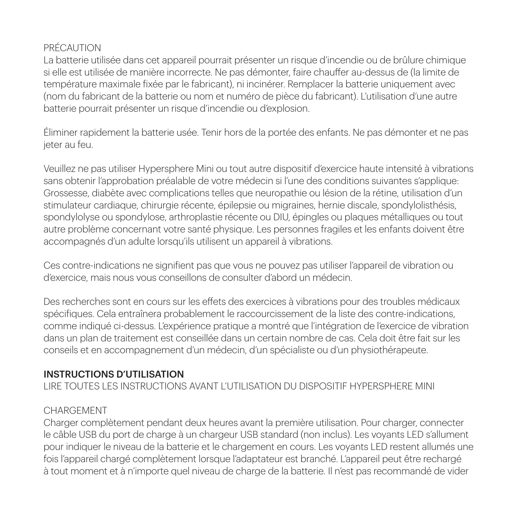# PRÉCAUTION

La batterie utilisée dans cet appareil pourrait présenter un risque d'incendie ou de brûlure chimique si elle est utilisée de manière incorrecte. Ne pas démonter, faire chauffer au-dessus de (la limite de température maximale fixée par le fabricant), ni incinérer. Remplacer la batterie uniquement avec (nom du fabricant de la batterie ou nom et numéro de pièce du fabricant). L'utilisation d'une autre batterie pourrait présenter un risque d'incendie ou d'explosion.

Éliminer rapidement la batterie usée. Tenir hors de la portée des enfants. Ne pas démonter et ne pas jeter au feu.

Veuillez ne pas utiliser Hypersphere Mini ou tout autre dispositif d'exercice haute intensité à vibrations sans obtenir l'approbation préalable de votre médecin si l'une des conditions suivantes s'applique: Grossesse, diabète avec complications telles que neuropathie ou lésion de la rétine, utilisation d'un stimulateur cardiaque, chirurgie récente, épilepsie ou migraines, hernie discale, spondylolisthésis, spondylolyse ou spondylose, arthroplastie récente ou DIU, épingles ou plaques métalliques ou tout autre problème concernant votre santé physique. Les personnes fragiles et les enfants doivent être accompagnés d'un adulte lorsqu'ils utilisent un appareil à vibrations.

Ces contre-indications ne signifient pas que vous ne pouvez pas utiliser l'appareil de vibration ou d'exercice, mais nous vous conseillons de consulter d'abord un médecin.

Des recherches sont en cours sur les effets des exercices à vibrations pour des troubles médicaux spécifiques. Cela entraînera probablement le raccourcissement de la liste des contre-indications, comme indiqué ci-dessus. L'expérience pratique a montré que l'intégration de l'exercice de vibration dans un plan de traitement est conseillée dans un certain nombre de cas. Cela doit être fait sur les conseils et en accompagnement d'un médecin, d'un spécialiste ou d'un physiothérapeute.

### INSTRUCTIONS D'UTILISATION

LIRE TOUTES LES INSTRUCTIONS AVANT L'UTILISATION DU DISPOSITIF HYPERSPHERE MINI

### **CHARGEMENT**

Charger complètement pendant deux heures avant la première utilisation. Pour charger, connecter le câble USB du port de charge à un chargeur USB standard (non inclus). Les voyants LED s'allument pour indiquer le niveau de la batterie et le chargement en cours. Les voyants LED restent allumés une fois l'appareil chargé complètement lorsque l'adaptateur est branché. L'appareil peut être rechargé à tout moment et à n'importe quel niveau de charge de la batterie. Il n'est pas recommandé de vider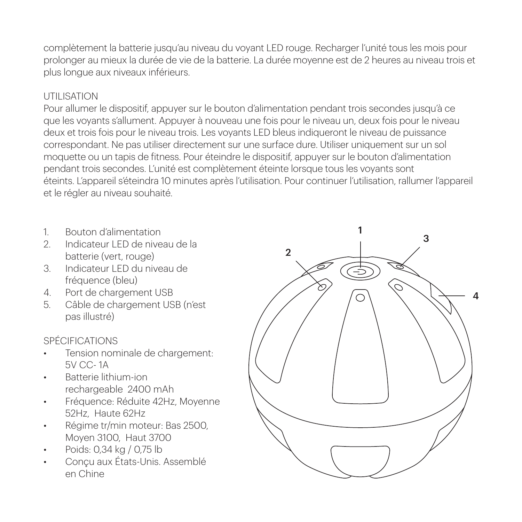complètement la batterie jusqu'au niveau du voyant LED rouge. Recharger l'unité tous les mois pour prolonger au mieux la durée de vie de la batterie. La durée moyenne est de 2 heures au niveau trois et plus longue aux niveaux inférieurs.

### UTILISATION

Pour allumer le dispositif, appuyer sur le bouton d'alimentation pendant trois secondes jusqu'à ce que les voyants s'allument. Appuyer à nouveau une fois pour le niveau un, deux fois pour le niveau deux et trois fois pour le niveau trois. Les voyants LED bleus indiqueront le niveau de puissance correspondant. Ne pas utiliser directement sur une surface dure. Utiliser uniquement sur un sol moquette ou un tapis de fitness. Pour éteindre le dispositif, appuyer sur le bouton d'alimentation pendant trois secondes. L'unité est complètement éteinte lorsque tous les voyants sont éteints. L'appareil s'éteindra 10 minutes après l'utilisation. Pour continuer l'utilisation, rallumer l'appareil et le régler au niveau souhaité.

- 1. Bouton d'alimentation
- 2. Indicateur LED de niveau de la batterie (vert, rouge)
- 3. Indicateur LED du niveau de fréquence (bleu)
- 4. Port de chargement USB
- 5. Câble de chargement USB (n'est pas illustré)

### SPÉCIFICATIONS

- Tension nominale de chargement: 5V CC- 1A
- Batterie lithium-ion rechargeable 2400 mAh
- Fréquence: Réduite 42Hz, Moyenne 52Hz, Haute 62Hz
- Régime tr/min moteur: Bas 2500, Moyen 3100, Haut 3700
- Poids: 0,34 kg / 0,75 lb
- Conçu aux États-Unis. Assemblé en Chine

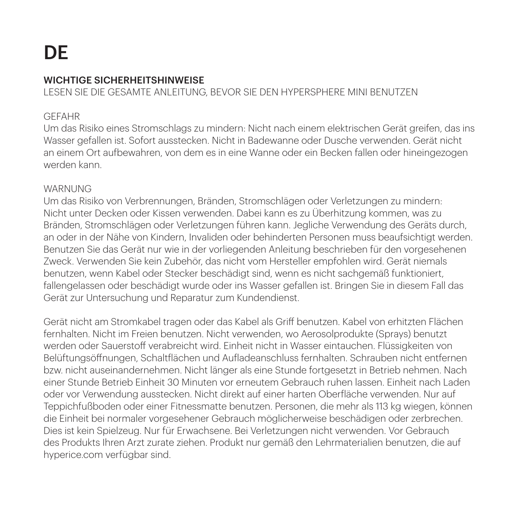# DE

# WICHTIGE SICHERHEITSHINWEISE

LESEN SIE DIE GESAMTE ANLEITUNG, BEVOR SIE DEN HYPERSPHERE MINI BENUTZEN

### GEFAHR

Um das Risiko eines Stromschlags zu mindern: Nicht nach einem elektrischen Gerät greifen, das ins Wasser gefallen ist. Sofort ausstecken. Nicht in Badewanne oder Dusche verwenden. Gerät nicht an einem Ort aufbewahren, von dem es in eine Wanne oder ein Becken fallen oder hineingezogen werden kann.

#### WARNUNG

Um das Risiko von Verbrennungen, Bränden, Stromschlägen oder Verletzungen zu mindern: Nicht unter Decken oder Kissen verwenden. Dabei kann es zu Überhitzung kommen, was zu Bränden, Stromschlägen oder Verletzungen führen kann. Jegliche Verwendung des Geräts durch, an oder in der Nähe von Kindern, Invaliden oder behinderten Personen muss beaufsichtigt werden. Benutzen Sie das Gerät nur wie in der vorliegenden Anleitung beschrieben für den vorgesehenen Zweck. Verwenden Sie kein Zubehör, das nicht vom Hersteller empfohlen wird. Gerät niemals benutzen, wenn Kabel oder Stecker beschädigt sind, wenn es nicht sachgemäß funktioniert, fallengelassen oder beschädigt wurde oder ins Wasser gefallen ist. Bringen Sie in diesem Fall das Gerät zur Untersuchung und Reparatur zum Kundendienst.

Gerät nicht am Stromkabel tragen oder das Kabel als Griff benutzen. Kabel von erhitzten Flächen fernhalten. Nicht im Freien benutzen. Nicht verwenden, wo Aerosolprodukte (Sprays) benutzt werden oder Sauerstoff verabreicht wird. Einheit nicht in Wasser eintauchen. Flüssigkeiten von Belüftungsöffnungen, Schaltflächen und Aufladeanschluss fernhalten. Schrauben nicht entfernen bzw. nicht auseinandernehmen. Nicht länger als eine Stunde fortgesetzt in Betrieb nehmen. Nach einer Stunde Betrieb Einheit 30 Minuten vor erneutem Gebrauch ruhen lassen. Einheit nach Laden oder vor Verwendung ausstecken. Nicht direkt auf einer harten Oberfläche verwenden. Nur auf Teppichfußboden oder einer Fitnessmatte benutzen. Personen, die mehr als 113 kg wiegen, können die Einheit bei normaler vorgesehener Gebrauch möglicherweise beschädigen oder zerbrechen. Dies ist kein Spielzeug. Nur für Erwachsene. Bei Verletzungen nicht verwenden. Vor Gebrauch des Produkts Ihren Arzt zurate ziehen. Produkt nur gemäß den Lehrmaterialien benutzen, die auf hyperice.com verfügbar sind.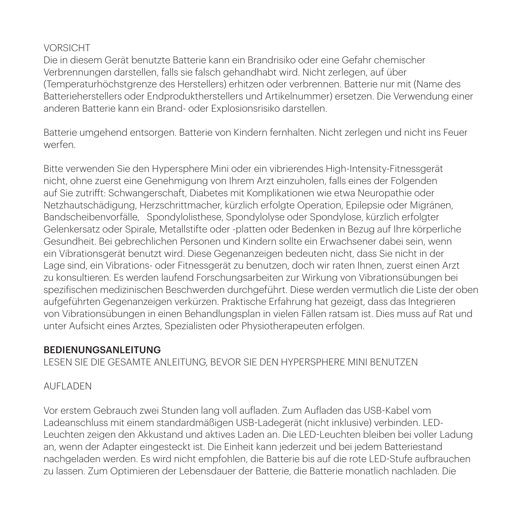# VORSICHT

Die in diesem Gerät benutzte Batterie kann ein Brandrisiko oder eine Gefahr chemischer Verbrennungen darstellen, falls sie falsch gehandhabt wird. Nicht zerlegen, auf über (Temperaturhöchstgrenze des Herstellers) erhitzen oder verbrennen. Batterie nur mit (Name des Batterieherstellers oder Endproduktherstellers und Artikelnummer) ersetzen. Die Verwendung einer anderen Batterie kann ein Brand- oder Explosionsrisiko darstellen.

Batterie umgehend entsorgen. Batterie von Kindern fernhalten. Nicht zerlegen und nicht ins Feuer werfen.

Bitte verwenden Sie den Hypersphere Mini oder ein vibrierendes High-Intensity-Fitnessgerät nicht, ohne zuerst eine Genehmigung von Ihrem Arzt einzuholen, falls eines der Folgenden auf Sie zutrifft: Schwangerschaft, Diabetes mit Komplikationen wie etwa Neuropathie oder Netzhautschädigung, Herzschrittmacher, kürzlich erfolgte Operation, Epilepsie oder Migränen, Bandscheibenvorfälle, Spondylolisthese, Spondylolyse oder Spondylose, kürzlich erfolgter Gelenkersatz oder Spirale, Metallstifte oder -platten oder Bedenken in Bezug auf Ihre körperliche Gesundheit. Bei gebrechlichen Personen und Kindern sollte ein Erwachsener dabei sein, wenn ein Vibrationsgerät benutzt wird. Diese Gegenanzeigen bedeuten nicht, dass Sie nicht in der Lage sind, ein Vibrations- oder Fitnessgerät zu benutzen, doch wir raten Ihnen, zuerst einen Arzt zu konsultieren. Es werden laufend Forschungsarbeiten zur Wirkung von Vibrationsübungen bei spezifischen medizinischen Beschwerden durchgeführt. Diese werden vermutlich die Liste der oben aufgeführten Gegenanzeigen verkürzen. Praktische Erfahrung hat gezeigt, dass das Integrieren von Vibrationsübungen in einen Behandlungsplan in vielen Fällen ratsam ist. Dies muss auf Rat und unter Aufsicht eines Arztes, Spezialisten oder Physiotherapeuten erfolgen.

### BEDIENUNGSANLEITUNG

LESEN SIE DIE GESAMTE ANLEITUNG, BEVOR SIE DEN HYPERSPHERE MINI BENUTZEN

### AUFLADEN

Vor erstem Gebrauch zwei Stunden lang voll aufladen. Zum Aufladen das USB-Kabel vom Ladeanschluss mit einem standardmäßigen USB-Ladegerät (nicht inklusive) verbinden. LED-Leuchten zeigen den Akkustand und aktives Laden an. Die LED-Leuchten bleiben bei voller Ladung an, wenn der Adapter eingesteckt ist. Die Einheit kann jederzeit und bei jedem Batteriestand nachgeladen werden. Es wird nicht empfohlen, die Batterie bis auf die rote LED-Stufe aufbrauchen zu lassen. Zum Optimieren der Lebensdauer der Batterie, die Batterie monatlich nachladen. Die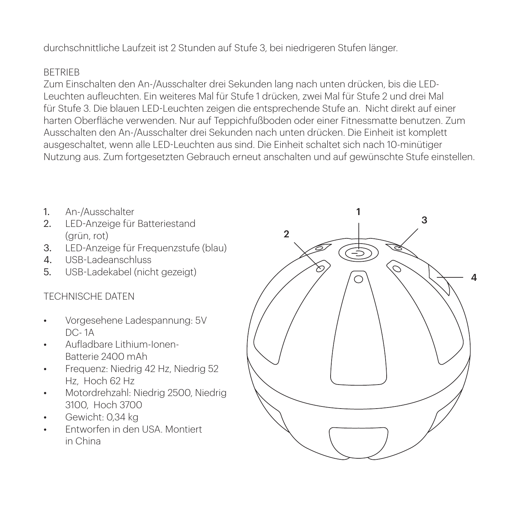durchschnittliche Laufzeit ist 2 Stunden auf Stufe 3, bei niedrigeren Stufen länger.

### **BETRIEB**

Zum Einschalten den An-/Ausschalter drei Sekunden lang nach unten drücken, bis die LED-Leuchten aufleuchten. Ein weiteres Mal für Stufe 1 drücken, zwei Mal für Stufe 2 und drei Mal für Stufe 3. Die blauen LED-Leuchten zeigen die entsprechende Stufe an. Nicht direkt auf einer harten Oberfläche verwenden. Nur auf Teppichfußboden oder einer Fitnessmatte benutzen. Zum Ausschalten den An-/Ausschalter drei Sekunden nach unten drücken. Die Einheit ist komplett ausgeschaltet, wenn alle LED-Leuchten aus sind. Die Einheit schaltet sich nach 10-minütiger Nutzung aus. Zum fortgesetzten Gebrauch erneut anschalten und auf gewünschte Stufe einstellen.

- 1. An-/Ausschalter
- 2. LED-Anzeige für Batteriestand (grün, rot)
- 3. LED-Anzeige für Frequenzstufe (blau)
- 4. USB-Ladeanschluss
- 5. USB-Ladekabel (nicht gezeigt)

### TECHNISCHE DATEN

- Vorgesehene Ladespannung: 5V DC- 1A
- Aufladbare Lithium-Ionen-Batterie 2400 mAh
- Frequenz: Niedrig 42 Hz, Niedrig 52 Hz, Hoch 62 Hz
- Motordrehzahl: Niedrig 2500, Niedrig 3100, Hoch 3700
- Gewicht: 0,34 kg
- Entworfen in den USA. Montiert in China

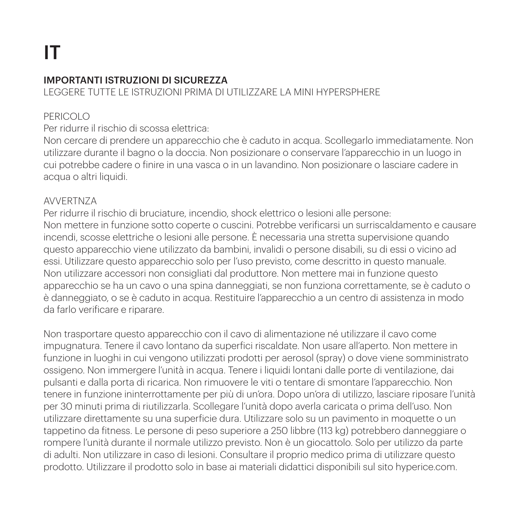### IMPORTANTI ISTRUZIONI DI SICUREZZA

LEGGERE TUTTE LE ISTRUZIONI PRIMA DI UTILIZZARE LA MINI HYPERSPHERE

# PERICOLO

### Per ridurre il rischio di scossa elettrica:

Non cercare di prendere un apparecchio che è caduto in acqua. Scollegarlo immediatamente. Non utilizzare durante il bagno o la doccia. Non posizionare o conservare l'apparecchio in un luogo in cui potrebbe cadere o finire in una vasca o in un lavandino. Non posizionare o lasciare cadere in acqua o altri liquidi.

### AVVERTNZA

Per ridurre il rischio di bruciature, incendio, shock elettrico o lesioni alle persone: Non mettere in funzione sotto coperte o cuscini. Potrebbe verificarsi un surriscaldamento e causare incendi, scosse elettriche o lesioni alle persone. È necessaria una stretta supervisione quando questo apparecchio viene utilizzato da bambini, invalidi o persone disabili, su di essi o vicino ad essi. Utilizzare questo apparecchio solo per l'uso previsto, come descritto in questo manuale. Non utilizzare accessori non consigliati dal produttore. Non mettere mai in funzione questo apparecchio se ha un cavo o una spina danneggiati, se non funziona correttamente, se è caduto o è danneggiato, o se è caduto in acqua. Restituire l'apparecchio a un centro di assistenza in modo da farlo verificare e riparare.

Non trasportare questo apparecchio con il cavo di alimentazione né utilizzare il cavo come impugnatura. Tenere il cavo lontano da superfici riscaldate. Non usare all'aperto. Non mettere in funzione in luoghi in cui vengono utilizzati prodotti per aerosol (spray) o dove viene somministrato ossigeno. Non immergere l'unità in acqua. Tenere i liquidi lontani dalle porte di ventilazione, dai pulsanti e dalla porta di ricarica. Non rimuovere le viti o tentare di smontare l'apparecchio. Non tenere in funzione ininterrottamente per più di un'ora. Dopo un'ora di utilizzo, lasciare riposare l'unità per 30 minuti prima di riutilizzarla. Scollegare l'unità dopo averla caricata o prima dell'uso. Non utilizzare direttamente su una superficie dura. Utilizzare solo su un pavimento in moquette o un tappetino da fitness. Le persone di peso superiore a 250 libbre (113 kg) potrebbero danneggiare o rompere l'unità durante il normale utilizzo previsto. Non è un giocattolo. Solo per utilizzo da parte di adulti. Non utilizzare in caso di lesioni. Consultare il proprio medico prima di utilizzare questo prodotto. Utilizzare il prodotto solo in base ai materiali didattici disponibili sul sito hyperice.com.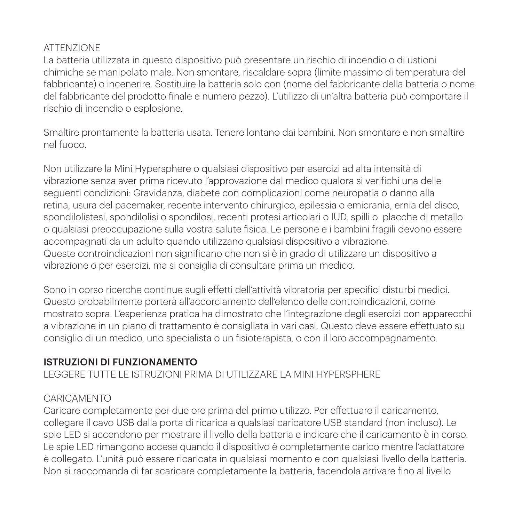# ATTENZIONE

La batteria utilizzata in questo dispositivo può presentare un rischio di incendio o di ustioni chimiche se manipolato male. Non smontare, riscaldare sopra (limite massimo di temperatura del fabbricante) o incenerire. Sostituire la batteria solo con (nome del fabbricante della batteria o nome del fabbricante del prodotto finale e numero pezzo). L'utilizzo di un'altra batteria può comportare il rischio di incendio o esplosione.

Smaltire prontamente la batteria usata. Tenere lontano dai bambini. Non smontare e non smaltire nel fuoco.

Non utilizzare la Mini Hypersphere o qualsiasi dispositivo per esercizi ad alta intensità di vibrazione senza aver prima ricevuto l'approvazione dal medico qualora si verifichi una delle seguenti condizioni: Gravidanza, diabete con complicazioni come neuropatia o danno alla retina, usura del pacemaker, recente intervento chirurgico, epilessia o emicrania, ernia del disco, spondilolistesi, spondilolisi o spondilosi, recenti protesi articolari o IUD, spilli o placche di metallo o qualsiasi preoccupazione sulla vostra salute fisica. Le persone e i bambini fragili devono essere accompagnati da un adulto quando utilizzano qualsiasi dispositivo a vibrazione. Queste controindicazioni non significano che non si è in grado di utilizzare un dispositivo a vibrazione o per esercizi, ma si consiglia di consultare prima un medico.

Sono in corso ricerche continue sugli effetti dell'attività vibratoria per specifici disturbi medici. Questo probabilmente porterà all'accorciamento dell'elenco delle controindicazioni, come mostrato sopra. L'esperienza pratica ha dimostrato che l'integrazione degli esercizi con apparecchi a vibrazione in un piano di trattamento è consigliata in vari casi. Questo deve essere effettuato su consiglio di un medico, uno specialista o un fisioterapista, o con il loro accompagnamento.

### ISTRUZIONI DI FUNZIONAMENTO

LEGGERE TUTTE LE ISTRUZIONI PRIMA DI UTILIZZARE LA MINI HYPERSPHERE

### CARICAMENTO

Caricare completamente per due ore prima del primo utilizzo. Per effettuare il caricamento, collegare il cavo USB dalla porta di ricarica a qualsiasi caricatore USB standard (non incluso). Le spie LED si accendono per mostrare il livello della batteria e indicare che il caricamento è in corso. Le spie LED rimangono accese quando il dispositivo è completamente carico mentre l'adattatore è collegato. L'unità può essere ricaricata in qualsiasi momento e con qualsiasi livello della batteria. Non si raccomanda di far scaricare completamente la batteria, facendola arrivare fino al livello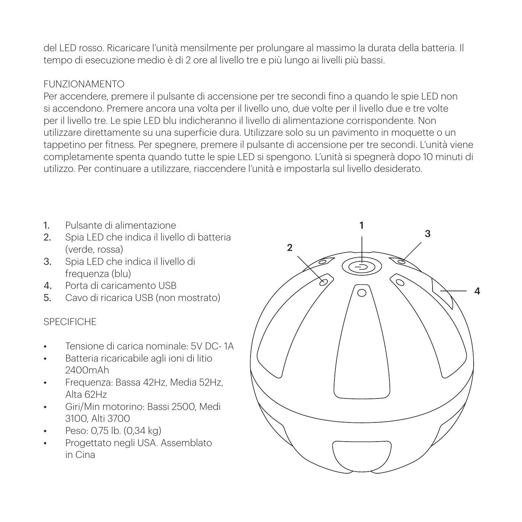del LED rosso. Ricaricare l'unità mensilmente per prolungare al massimo la durata della batteria. Il tempo di esecuzione medio è di 2 ore al livello tre e più lungo ai livelli più bassi.

# FUNZIONAMENTO

Per accendere, premere il pulsante di accensione per tre secondi fino a quando le spie LED non si accendono. Premere ancora una volta per il livello uno, due volte per il livello due e tre volte per il livello tre. Le spie LED blu indicheranno il livello di alimentazione corrispondente. Non utilizzare direttamente su una superficie dura. Utilizzare solo su un pavimento in moquette o un tappetino per fitness. Per spegnere, premere il pulsante di accensione per tre secondi. L'unità viene completamente spenta quando tutte le spie LED si spengono. L'unità si spegnerà dopo 10 minuti di utilizzo. Per continuare a utilizzare, riaccendere l'unità e impostarla sul livello desiderato.

- 1. Pulsante di alimentazione
- 2. Spia LED che indica il livello di batteria (verde, rossa)
- 3. Spia LED che indica il livello di frequenza (blu)
- 4. Porta di caricamento USB
- 5. Cavo di ricarica USB (non mostrato)

### SPECIFICHE

- Tensione di carica nominale: 5V DC- 1A
- Batteria ricaricabile agli ioni di litio 2400mAh
- Frequenza: Bassa 42Hz, Media 52Hz, Alta 62Hz
- Giri/Min motorino: Bassi 2500, Medi 3100, Alti 3700
- Peso: 0,75 lb. (0,34 kg)
- Progettato negli USA. Assemblato in Cina

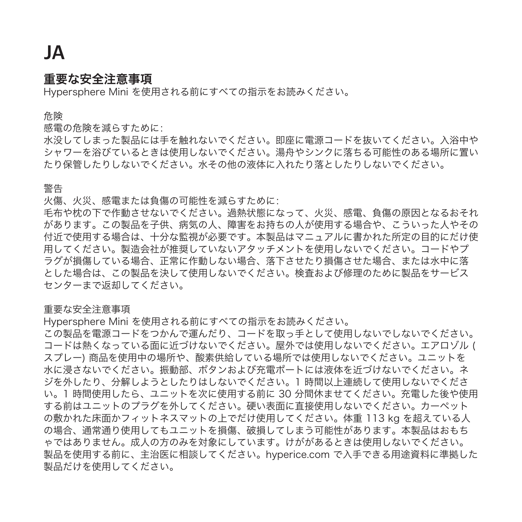# JA

# 重要な安全注意事項

Hypersphere Mini を使用される前にすべての指示をお読みください。

危険

感電の危険を減らすために:

水没してしまった製品には手を触れないでください。即座に電源コードを抜いてください。入浴中や シャワーを浴びているときは使用しないでください。湯舟やシンクに落ちる可能性のある場所に置い たり保管したりしないでください。水その他の液体に入れたり落としたりしないでください。

警告

火傷、火災、感電または負傷の可能性を減らすために:

毛布や枕の下で作動させないでください。過熱状態になって、火災、感電、負傷の原因となるおそれ があります。この製品を子供、病気の人、障害をお持ちの人が使用する場合や、こういった人やその 付近で使用する場合は、十分な監視が必要です。本製品はマニュアルに書かれた所定の目的にだけ使 用してください。製造会社が推奨していないアタッチメントを使用しないでください。コードやプ ラグが損傷している場合、正常に作動しない場合、落下させたり損傷させた場合、または水中に落 とした場合は、この製品を決して使用しないでください。検査および修理のために製品をサービス センターまで返却してください。

### 重要な安全注意事項

Hypersphere Mini を使用される前にすべての指示をお読みください。

この製品を電源コードをつかんで運んだり、コードを取っ手として使用しないでしないでください。 コードは熱くなっている面に近づけないでください。屋外では使用しないでください。エアロゾル ( スプレー) 商品を使用中の場所や、酸素供給している場所では使用しないでください。ユニットを 水に浸さないでください。振動部、ボタンおよび充電ポートには液体を近づけないでください。ネ ジを外したり、分解しようとしたりはしないでください。1 時間以上連続して使用しないでくださ い。1 時間使用したら、ユニットを次に使用する前に 30 分間休ませてください。充電した後や使用 する前はユニットのプラグを外してください。硬い表面に直接使用しないでください。カーペット の敷かれた床面かフィットネスマットの上でだけ使用してください。体重 113 kg を超えている人 の場合、通常通り使用してもユニットを損傷、破損してしまう可能性があります。本製品はおもち ゃではありません。成人の方のみを対象にしています。けががあるときは使用しないでください。 製品を使用する前に、主治医に相談してください。hyperice.com で入手できる用途資料に準拠した 製品だけを使用してください。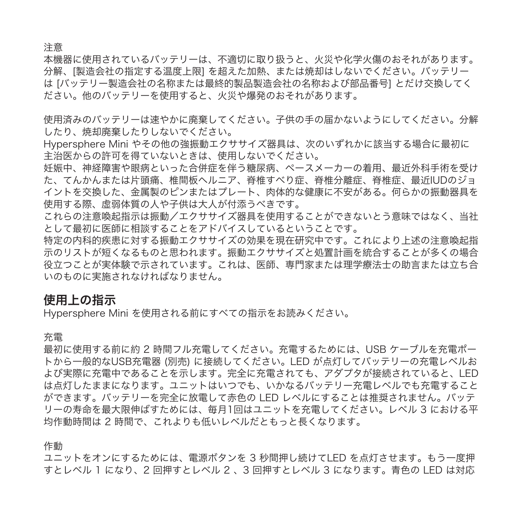注意

本機器に使用されているバッテリーは、不適切に取り扱うと、火災や化学火傷のおそれがあります。 分解、[製造会社の指定する温度上限] を超えた加熱、または焼却はしないでください。バッテリー は [バッテリー製造会社の名称または最終的製品製造会社の名称および部品番号] とだけ交換してく ださい。他のバッテリーを使用すると、火災や爆発のおそれがあります。

使用済みのバッテリーは速やかに廃棄してください。子供の手の届かないようにしてください。分解 したり、焼却廃棄したりしないでください。

Hypersphere Mini やその他の強振動エクササイズ器具は、次のいずれかに該当する場合に最初に 主治医からの許可を得ていないときは、使用しないでください。

妊娠中、神経障害や眼病といった合併症を伴う糖尿病、ペースメーカーの着用、最近外科手術を受け た、てんかんまたは片頭痛、椎間板ヘルニア、脊椎すべり症、脊椎分離症、脊椎症、最近IUDのジョ イントを交換した、金属製のピンまたはプレート、肉体的な健康に不安がある。何らかの振動器具を 使用する際、虚弱体質の人や子供は大人が付添うべきです。

これらの注意喚起指示は振動/エクササイズ器具を使用することができないとう意味ではなく、当社 として最初に医師に相談することをアドバイスしているということです。

特定の内科的疾患に対する振動エクササイズの効果を現在研究中です。これにより上述の注意喚起指 示のリストが短くなるものと思われます。振動エクササイズと処置計画を統合することが多くの場合 役立つことが実体験で示されています。これは、医師、専門家または理学療法士の助言または立ち合 いのものに実施されなければなりません。

# 使用上の指示

Hypersphere Mini を使用される前にすべての指示をお読みください。

充電

最初に使用する前に約 2 時間フル充電してください。充電するためには、USB ケーブルを充電ポー トから一般的なUSB充電器 (別売) に接続してください。LED が点灯してバッテリーの充電レベルお よび実際に充電中であることを示します。完全に充電されても、アダプタが接続されていると、LED は点灯したままになります。ユニットはいつでも、いかなるバッテリー充電レベルでも充電すること ができます。バッテリーを完全に放電して赤色の LED レベルにすることは推奨されません。バッテ リーの寿命を最大限伸ばすためには、毎月1回はユニットを充電してください。レベル 3 における平 均作動時間は 2 時間で、これよりも低いレベルだともっと長くなります。

作動

ユニットをオンにするためには、電源ボタンを 3 秒間押し続けてLED を点灯させます。もう一度押 すとレベル 1 になり、2 回押すとレベル 2 、3 回押すとレベル 3 になります。青色の LED は対応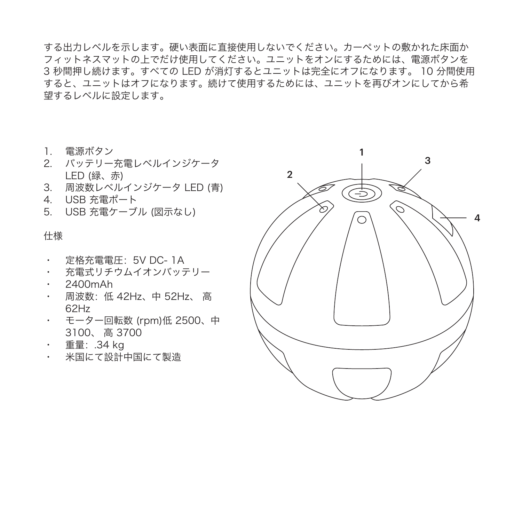する出力レベルを示します。硬い表面に直接使用しないでください。カーペットの敷かれた床面か フィットネスマットの上でだけ使用してください。ユニットをオンにするためには、電源ボタンを 3 秒間押し続けます。すべての LED が消灯するとユニットは完全にオフになります。 10 分間使用 すると、ユニットはオフになります。続けて使用するためには、ユニットを再びオンにしてから希 望するレベルに設定します。

- 1. 電源ボタン
- 2. バッテリー充電レベルインジケータ LED (緑、赤)
- 3. 周波数レベルインジケータ LED (青)
- 4. USB 充電ポート
- 5. USB 充電ケーブル (図示なし)

### 仕様

- 定格充電電圧:5V DC- 1A
- 充電式リチウムイオンバッテリー
- 2400mAh
- 周波数:低 42Hz、中 52Hz、 高 62Hz
- モーター回転数 (rpm)低 2500、中 3100、 高 3700
- 重量:.34 kg
- 米国にて設計中国にて製造

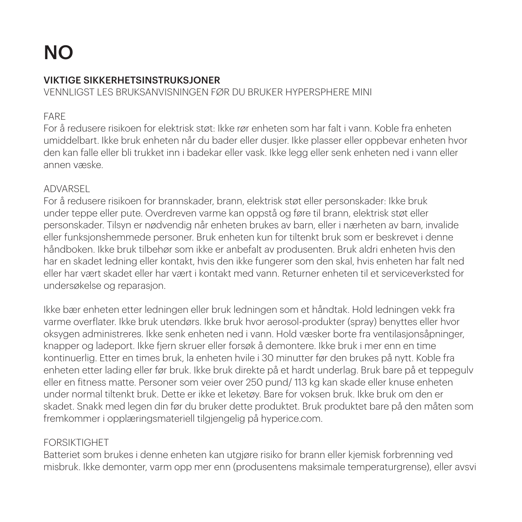# NO

# VIKTIGE SIKKERHETSINSTRUKSJONER

VENNLIGST LES BRUKSANVISNINGEN FØR DU BRUKER HYPERSPHERE MINI

### FARE

For å redusere risikoen for elektrisk støt: Ikke rør enheten som har falt i vann. Koble fra enheten umiddelbart. Ikke bruk enheten når du bader eller dusjer. Ikke plasser eller oppbevar enheten hvor den kan falle eller bli trukket inn i badekar eller vask. Ikke legg eller senk enheten ned i vann eller annen væske.

### ADVARSEL

For å redusere risikoen for brannskader, brann, elektrisk støt eller personskader: Ikke bruk under teppe eller pute. Overdreven varme kan oppstå og føre til brann, elektrisk støt eller personskader. Tilsyn er nødvendig når enheten brukes av barn, eller i nærheten av barn, invalide eller funksjonshemmede personer. Bruk enheten kun for tiltenkt bruk som er beskrevet i denne håndboken. Ikke bruk tilbehør som ikke er anbefalt av produsenten. Bruk aldri enheten hvis den har en skadet ledning eller kontakt, hvis den ikke fungerer som den skal, hvis enheten har falt ned eller har vært skadet eller har vært i kontakt med vann. Returner enheten til et serviceverksted for undersøkelse og reparasjon.

Ikke bær enheten etter ledningen eller bruk ledningen som et håndtak. Hold ledningen vekk fra varme overflater. Ikke bruk utendørs. Ikke bruk hvor aerosol-produkter (spray) benyttes eller hvor oksygen administreres. Ikke senk enheten ned i vann. Hold væsker borte fra ventilasjonsåpninger, knapper og ladeport. Ikke fjern skruer eller forsøk å demontere. Ikke bruk i mer enn en time kontinuerlig. Etter en times bruk, la enheten hvile i 30 minutter før den brukes på nytt. Koble fra enheten etter lading eller før bruk. Ikke bruk direkte på et hardt underlag. Bruk bare på et teppegulv eller en fitness matte. Personer som veier over 250 pund/ 113 kg kan skade eller knuse enheten under normal tiltenkt bruk. Dette er ikke et leketøy. Bare for voksen bruk. Ikke bruk om den er skadet. Snakk med legen din før du bruker dette produktet. Bruk produktet bare på den måten som fremkommer i opplæringsmateriell tilgjengelig på hyperice.com.

# FORSIKTIGHET

Batteriet som brukes i denne enheten kan utgjøre risiko for brann eller kjemisk forbrenning ved misbruk. Ikke demonter, varm opp mer enn (produsentens maksimale temperaturgrense), eller avsvi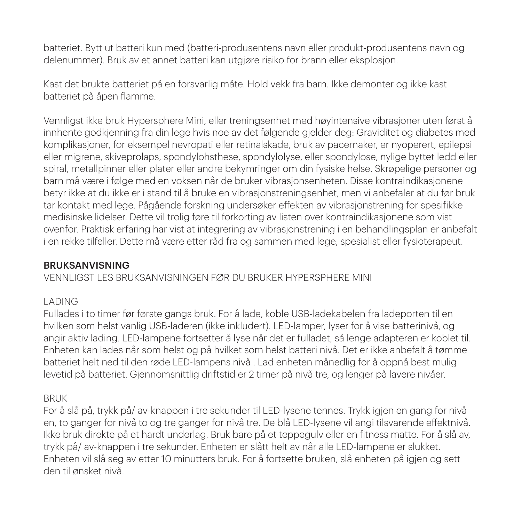batteriet. Bytt ut batteri kun med (batteri-produsentens navn eller produkt-produsentens navn og delenummer). Bruk av et annet batteri kan utgjøre risiko for brann eller eksplosjon.

Kast det brukte batteriet på en forsvarlig måte. Hold vekk fra barn. Ikke demonter og ikke kast batteriet på åpen flamme.

Vennligst ikke bruk Hypersphere Mini, eller treningsenhet med høyintensive vibrasjoner uten først å innhente godkjenning fra din lege hvis noe av det følgende gjelder deg: Graviditet og diabetes med komplikasjoner, for eksempel nevropati eller retinalskade, bruk av pacemaker, er nyoperert, epilepsi eller migrene, skiveprolaps, spondylohsthese, spondylolyse, eller spondylose, nylige byttet ledd eller spiral, metallpinner eller plater eller andre bekymringer om din fysiske helse. Skrøpelige personer og barn må være i følge med en voksen når de bruker vibrasjonsenheten. Disse kontraindikasjonene betyr ikke at du ikke er i stand til å bruke en vibrasjonstreningsenhet, men vi anbefaler at du før bruk tar kontakt med lege. Pågående forskning undersøker effekten av vibrasjonstrening for spesifikke medisinske lidelser. Dette vil trolig føre til forkorting av listen over kontraindikasjonene som vist ovenfor. Praktisk erfaring har vist at integrering av vibrasjonstrening i en behandlingsplan er anbefalt i en rekke tilfeller. Dette må være etter råd fra og sammen med lege, spesialist eller fysioterapeut.

### BRUKSANVISNING

### VENNLIGST LES BRUKSANVISNINGEN FØR DU BRUKER HYPERSPHERE MINI

### LADING

Fullades i to timer før første gangs bruk. For å lade, koble USB-ladekabelen fra ladeporten til en hvilken som helst vanlig USB-laderen (ikke inkludert). LED-lamper, lyser for å vise batterinivå, og angir aktiv lading. LED-lampene fortsetter å lyse når det er fulladet, så lenge adapteren er koblet til. Enheten kan lades når som helst og på hvilket som helst batteri nivå. Det er ikke anbefalt å tømme batteriet helt ned til den røde LED-lampens nivå . Lad enheten månedlig for å oppnå best mulig levetid på batteriet. Gjennomsnittlig driftstid er 2 timer på nivå tre, og lenger på lavere nivåer.

### BRUK

For å slå på, trykk på/ av-knappen i tre sekunder til LED-lysene tennes. Trykk igjen en gang for nivå en, to ganger for nivå to og tre ganger for nivå tre. De blå LED-lysene vil angi tilsvarende effektnivå. Ikke bruk direkte på et hardt underlag. Bruk bare på et teppegulv eller en fitness matte. For å slå av, trykk på/ av-knappen i tre sekunder. Enheten er slått helt av når alle LED-lampene er slukket. Enheten vil slå seg av etter 10 minutters bruk. For å fortsette bruken, slå enheten på igjen og sett den til ønsket nivå.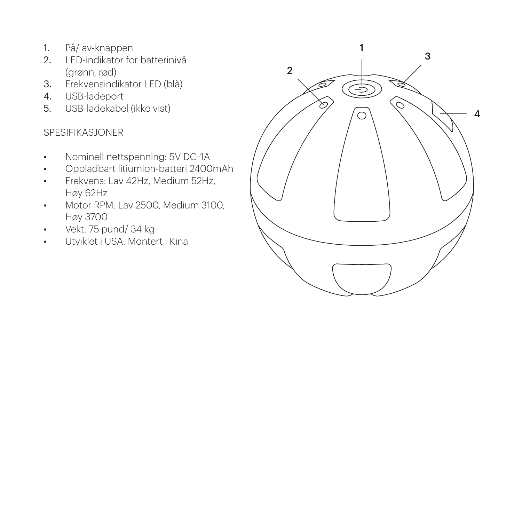- 1. På/ av-knappen
- 2. LED-indikator for batterinivå (grønn, rød)
- 3. Frekvensindikator LED (blå)
- 4. USB-ladeport
- 5. USB-ladekabel (ikke vist)

### SPESIFIKASJONER

- Nominell nettspenning: 5V DC-1A
- Oppladbart litiumion-batteri 2400mAh
- Frekvens: Lav 42Hz, Medium 52Hz, Høy 62Hz
- Motor RPM: Lav 2500, Medium 3100. Høy 3700
- Vekt: 75 pund/ 34 kg
- Utviklet i USA. Montert i Kina

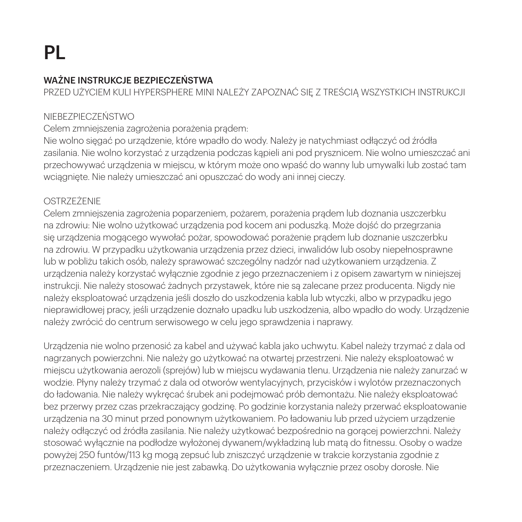# WAŻNE INSTRUKCJE BEZPIECZEŃSTWA

PRZED UŻYCIEM KULI HYPERSPHERE MINI NALEŻY ZAPOZNAĆ SIĘ Z TREŚCIĄ WSZYSTKICH INSTRUKCJI

### NIEBEZPIECZEŃSTWO

Celem zmniejszenia zagrożenia porażenia pradem:

Nie wolno sięgać po urządzenie, które wpadło do wody. Należy je natychmiast odłączyć od źródła zasilania. Nie wolno korzystać z urządzenia podczas kąpieli ani pod prysznicem. Nie wolno umieszczać ani przechowywać urządzenia w miejscu, w którym może ono wpaść do wanny lub umywalki lub zostać tam wciągnięte. Nie należy umieszczać ani opuszczać do wody ani innej cieczy.

### OSTRZEŻENIE

Celem zmniejszenia zagrożenia poparzeniem, pożarem, porażenia prądem lub doznania uszczerbku na zdrowiu: Nie wolno użytkować urządzenia pod kocem ani poduszką. Może dojść do przegrzania się urządzenia mogącego wywołać pożar, spowodować porażenie prądem lub doznanie uszczerbku na zdrowiu. W przypadku użytkowania urządzenia przez dzieci, inwalidów lub osoby niepełnosprawne lub w pobliżu takich osób, należy sprawować szczególny nadzór nad użytkowaniem urządzenia. Z urządzenia należy korzystać wyłącznie zgodnie z jego przeznaczeniem i z opisem zawartym w niniejszej instrukcji. Nie należy stosować żadnych przystawek, które nie są zalecane przez producenta. Nigdy nie należy eksploatować urządzenia jeśli doszło do uszkodzenia kabla lub wtyczki, albo w przypadku jego nieprawidłowej pracy, jeśli urządzenie doznało upadku lub uszkodzenia, albo wpadło do wody. Urządzenie należy zwrócić do centrum serwisowego w celu jego sprawdzenia i naprawy.

Urządzenia nie wolno przenosić za kabel and używać kabla jako uchwytu. Kabel należy trzymać z dala od nagrzanych powierzchni. Nie należy go użytkować na otwartej przestrzeni. Nie należy eksploatować w miejscu użytkowania aerozoli (sprejów) lub w miejscu wydawania tlenu. Urządzenia nie należy zanurzać w wodzie. Płyny należy trzymać z dala od otworów wentylacyjnych, przycisków i wylotów przeznaczonych do ładowania. Nie należy wykręcać śrubek ani podejmować prób demontażu. Nie należy eksploatować bez przerwy przez czas przekraczający godzinę. Po godzinie korzystania należy przerwać eksploatowanie urządzenia na 30 minut przed ponownym użytkowaniem. Po ładowaniu lub przed użyciem urządzenie należy odłączyć od źródła zasilania. Nie należy użytkować bezpośrednio na gorącej powierzchni. Należy stosować wyłącznie na podłodze wyłożonej dywanem/wykładziną lub matą do fitnessu. Osoby o wadze powyżej 250 funtów/113 kg mogą zepsuć lub zniszczyć urządzenie w trakcie korzystania zgodnie z przeznaczeniem. Urządzenie nie jest zabawką. Do użytkowania wyłącznie przez osoby dorosłe. Nie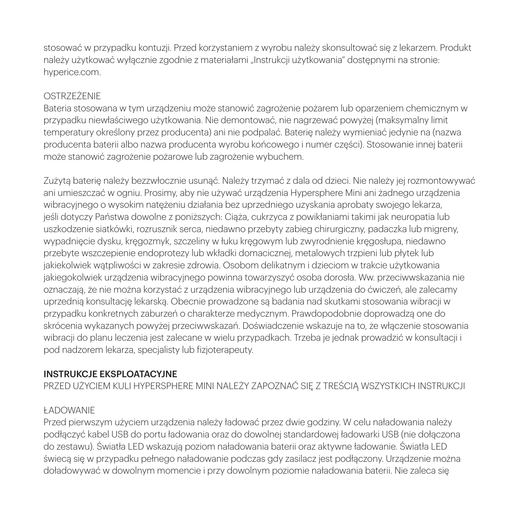stosować w przypadku kontuzji. Przed korzystaniem z wyrobu należy skonsultować się z lekarzem. Produkt należy użytkować wyłącznie zgodnie z materiałami "Instrukcji użytkowania" dostępnymi na stronie: hyperice.com.

### OSTRZEŻENIE

Bateria stosowana w tym urządzeniu może stanowić zagrożenie pożarem lub oparzeniem chemicznym w przypadku niewłaściwego użytkowania. Nie demontować, nie nagrzewać powyżej (maksymalny limit temperatury określony przez producenta) ani nie podpalać. Baterię należy wymieniać jedynie na (nazwa producenta baterii albo nazwa producenta wyrobu końcowego i numer części). Stosowanie innej baterii może stanowić zagrożenie pożarowe lub zagrożenie wybuchem.

Zużytą baterię należy bezzwłocznie usunąć. Należy trzymać z dala od dzieci. Nie należy jej rozmontowywać ani umieszczać w ogniu. Prosimy, aby nie używać urządzenia Hypersphere Mini ani żadnego urządzenia wibracyjnego o wysokim natężeniu działania bez uprzedniego uzyskania aprobaty swojego lekarza, jeśli dotyczy Państwa dowolne z poniższych: Ciąża, cukrzyca z powikłaniami takimi jak neuropatia lub uszkodzenie siatkówki, rozrusznik serca, niedawno przebyty zabieg chirurgiczny, padaczka lub migreny, wypadnięcie dysku, kręgozmyk, szczeliny w łuku kręgowym lub zwyrodnienie kręgosłupa, niedawno przebyte wszczepienie endoprotezy lub wkładki domacicznej, metalowych trzpieni lub płytek lub jakiekolwiek wątpliwości w zakresie zdrowia. Osobom delikatnym i dzieciom w trakcie użytkowania jakiegokolwiek urządzenia wibracyjnego powinna towarzyszyć osoba dorosła. Ww. przeciwwskazania nie oznaczają, że nie można korzystać z urządzenia wibracyjnego lub urządzenia do ćwiczeń, ale zalecamy uprzednią konsultację lekarską. Obecnie prowadzone są badania nad skutkami stosowania wibracji w przypadku konkretnych zaburzeń o charakterze medycznym. Prawdopodobnie doprowadzą one do skrócenia wykazanych powyżej przeciwwskazań. Doświadczenie wskazuje na to, że włączenie stosowania wibracji do planu leczenia jest zalecane w wielu przypadkach. Trzeba je jednak prowadzić w konsultacji i pod nadzorem lekarza, specjalisty lub fizjoterapeuty.

#### INSTRUKCJE EKSPLOATACYJNE

PRZED UŻYCIEM KULI HYPERSPHERE MINI NALEŻY ZAPOZNAĆ SIĘ Z TREŚCIĄ WSZYSTKICH INSTRUKCJI

# ŁADOWANIE

Przed pierwszym użyciem urządzenia należy ładować przez dwie godziny. W celu naładowania należy podłączyć kabel USB do portu ładowania oraz do dowolnej standardowej ładowarki USB (nie dołączona do zestawu). Światła LED wskazują poziom naładowania baterii oraz aktywne ładowanie. Światła LED świecą się w przypadku pełnego naładowanie podczas gdy zasilacz jest podłączony. Urządzenie można doładowywać w dowolnym momencie i przy dowolnym poziomie naładowania baterii. Nie zaleca się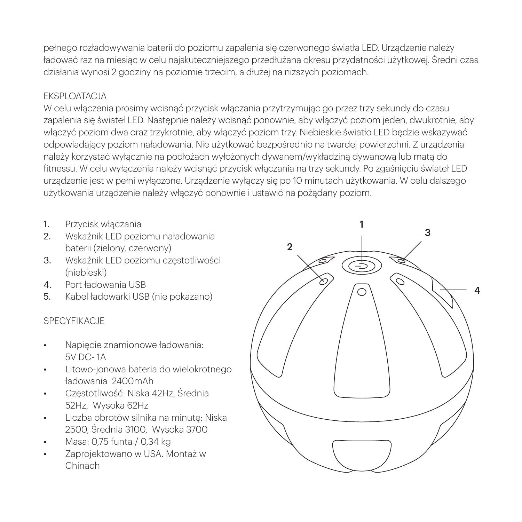pełnego rozładowywania baterii do poziomu zapalenia się czerwonego światła LED. Urządzenie należy ładować raz na miesiąc w celu najskuteczniejszego przedłużana okresu przydatności użytkowej. Średni czas działania wynosi 2 godziny na poziomie trzecim, a dłużej na niższych poziomach.

### EKSPLOATACJA

W celu włączenia prosimy wcisnąć przycisk włączania przytrzymując go przez trzy sekundy do czasu zapalenia się świateł LED. Następnie należy wcisnąć ponownie, aby włączyć poziom jeden, dwukrotnie, aby włączyć poziom dwa oraz trzykrotnie, aby włączyć poziom trzy. Niebieskie światło LED będzie wskazywać odpowiadający poziom naładowania. Nie użytkować bezpośrednio na twardej powierzchni. Z urządzenia należy korzystać wyłącznie na podłożach wyłożonych dywanem/wykładziną dywanową lub matą do fitnessu. W celu wyłączenia należy wcisnąć przycisk włączania na trzy sekundy. Po zgaśnięciu świateł LED urządzenie jest w pełni wyłączone. Urządzenie wyłączy się po 10 minutach użytkowania. W celu dalszego użytkowania urządzenie należy włączyć ponownie i ustawić na pożądany poziom.

- 1. Przycisk włączania
- 2. Wskaźnik LED poziomu naładowania baterii (zielony, czerwony)
- 3. Wskaźnik LED poziomu częstotliwości (niebieski)
- 4. Port ładowania USB
- 5. Kabel ładowarki USB (nie pokazano)

### SPECYFIKACJE

- Napięcie znamionowe ładowania: 5V DC- 1A
- Litowo-jonowa bateria do wielokrotnego ładowania 2400mAh
- Częstotliwość: Niska 42Hz, Średnia 52Hz, Wysoka 62Hz
- Liczba obrotów silnika na minutę: Niska 2500, Średnia 3100, Wysoka 3700
- Masa: 0,75 funta / 0,34 kg
- Zaprojektowano w USA. Montaż w Chinach

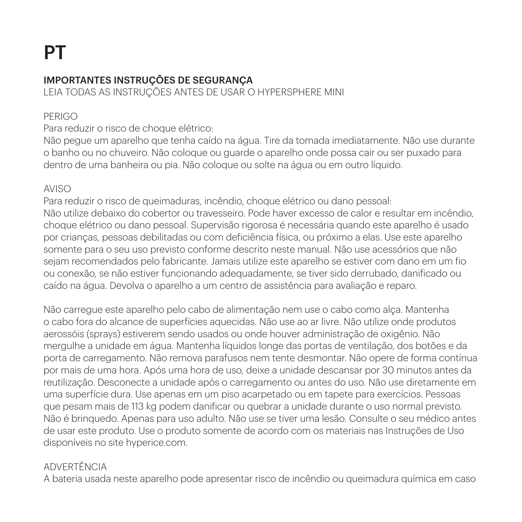# IMPORTANTES INSTRUÇÕES DE SEGURANÇA

LEIA TODAS AS INSTRUÇÕES ANTES DE USAR O HYPERSPHERE MINI

# PERIGO

Para reduzir o risco de choque elétrico:

Não pegue um aparelho que tenha caído na água. Tire da tomada imediatamente. Não use durante o banho ou no chuveiro. Não coloque ou guarde o aparelho onde possa cair ou ser puxado para dentro de uma banheira ou pia. Não coloque ou solte na água ou em outro líquido.

### AVISO

Para reduzir o risco de queimaduras, incêndio, choque elétrico ou dano pessoal: Não utilize debaixo do cobertor ou travesseiro. Pode haver excesso de calor e resultar em incêndio, choque elétrico ou dano pessoal. Supervisão rigorosa é necessária quando este aparelho é usado por crianças, pessoas debilitadas ou com deficiência física, ou próximo a elas. Use este aparelho somente para o seu uso previsto conforme descrito neste manual. Não use acessórios que não sejam recomendados pelo fabricante. Jamais utilize este aparelho se estiver com dano em um fio ou conexão, se não estiver funcionando adequadamente, se tiver sido derrubado, danificado ou caído na água. Devolva o aparelho a um centro de assistência para avaliação e reparo.

Não carregue este aparelho pelo cabo de alimentação nem use o cabo como alça. Mantenha o cabo fora do alcance de superfícies aquecidas. Não use ao ar livre. Não utilize onde produtos aerossóis (sprays) estiverem sendo usados ou onde houver administração de oxigênio. Não mergulhe a unidade em água. Mantenha líquidos longe das portas de ventilação, dos botões e da porta de carregamento. Não remova parafusos nem tente desmontar. Não opere de forma contínua por mais de uma hora. Após uma hora de uso, deixe a unidade descansar por 30 minutos antes da reutilização. Desconecte a unidade após o carregamento ou antes do uso. Não use diretamente em uma superfície dura. Use apenas em um piso acarpetado ou em tapete para exercícios. Pessoas que pesam mais de 113 kg podem danificar ou quebrar a unidade durante o uso normal previsto. Não é brinquedo. Apenas para uso adulto. Não use se tiver uma lesão. Consulte o seu médico antes de usar este produto. Use o produto somente de acordo com os materiais nas Instruções de Uso disponíveis no site hyperice.com.

### ADVERTÊNCIA

A bateria usada neste aparelho pode apresentar risco de incêndio ou queimadura química em caso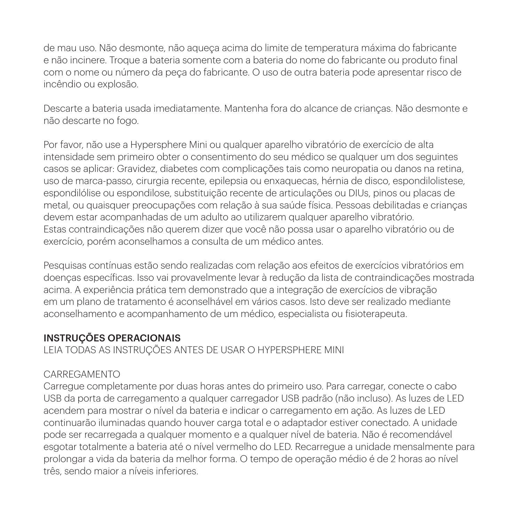de mau uso. Não desmonte, não aqueça acima do limite de temperatura máxima do fabricante e não incinere. Troque a bateria somente com a bateria do nome do fabricante ou produto final com o nome ou número da peça do fabricante. O uso de outra bateria pode apresentar risco de incêndio ou explosão.

Descarte a bateria usada imediatamente. Mantenha fora do alcance de crianças. Não desmonte e não descarte no fogo.

Por favor, não use a Hypersphere Mini ou qualquer aparelho vibratório de exercício de alta intensidade sem primeiro obter o consentimento do seu médico se qualquer um dos seguintes casos se aplicar: Gravidez, diabetes com complicações tais como neuropatia ou danos na retina, uso de marca-passo, cirurgia recente, epilepsia ou enxaquecas, hérnia de disco, espondilolistese, espondilólise ou espondilose, substituição recente de articulações ou DIUs, pinos ou placas de metal, ou quaisquer preocupações com relação à sua saúde física. Pessoas debilitadas e crianças devem estar acompanhadas de um adulto ao utilizarem qualquer aparelho vibratório. Estas contraindicações não querem dizer que você não possa usar o aparelho vibratório ou de exercício, porém aconselhamos a consulta de um médico antes.

Pesquisas contínuas estão sendo realizadas com relação aos efeitos de exercícios vibratórios em doenças específicas. Isso vai provavelmente levar à redução da lista de contraindicações mostrada acima. A experiência prática tem demonstrado que a integração de exercícios de vibração em um plano de tratamento é aconselhável em vários casos. Isto deve ser realizado mediante aconselhamento e acompanhamento de um médico, especialista ou fisioterapeuta.

### INSTRUÇÕES OPERACIONAIS

LEIA TODAS AS INSTRUÇÕES ANTES DE USAR O HYPERSPHERE MINI

### CARREGAMENTO

Carregue completamente por duas horas antes do primeiro uso. Para carregar, conecte o cabo USB da porta de carregamento a qualquer carregador USB padrão (não incluso). As luzes de LED acendem para mostrar o nível da bateria e indicar o carregamento em ação. As luzes de LED continuarão iluminadas quando houver carga total e o adaptador estiver conectado. A unidade pode ser recarregada a qualquer momento e a qualquer nível de bateria. Não é recomendável esgotar totalmente a bateria até o nível vermelho do LED. Recarregue a unidade mensalmente para prolongar a vida da bateria da melhor forma. O tempo de operação médio é de 2 horas ao nível três, sendo maior a níveis inferiores.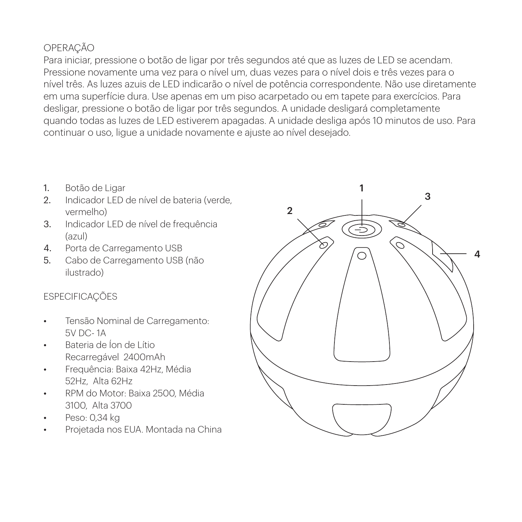# OPERAÇÃO

Para iniciar, pressione o botão de ligar por três segundos até que as luzes de LED se acendam. Pressione novamente uma vez para o nível um, duas vezes para o nível dois e três vezes para o nível três. As luzes azuis de LED indicarão o nível de potência correspondente. Não use diretamente em uma superfície dura. Use apenas em um piso acarpetado ou em tapete para exercícios. Para desligar, pressione o botão de ligar por três segundos. A unidade desligará completamente quando todas as luzes de LED estiverem apagadas. A unidade desliga após 10 minutos de uso. Para continuar o uso, ligue a unidade novamente e ajuste ao nível desejado.

- 1. Botão de Ligar
- 2. Indicador LED de nível de bateria (verde, vermelho)
- 3. Indicador LED de nível de frequência (azul)
- 4. Porta de Carregamento USB
- 5. Cabo de Carregamento USB (não ilustrado)

# **ESPECIFICAÇÕES**

- Tensão Nominal de Carregamento: 5V DC- 1A
- Bateria de Íon de Lítio Recarregável 2400mAh
- Frequência: Baixa 42Hz, Média 52Hz, Alta 62Hz
- RPM do Motor: Baixa 2500, Média 3100, Alta 3700
- Peso: 0,34 kg
- Projetada nos EUA. Montada na China

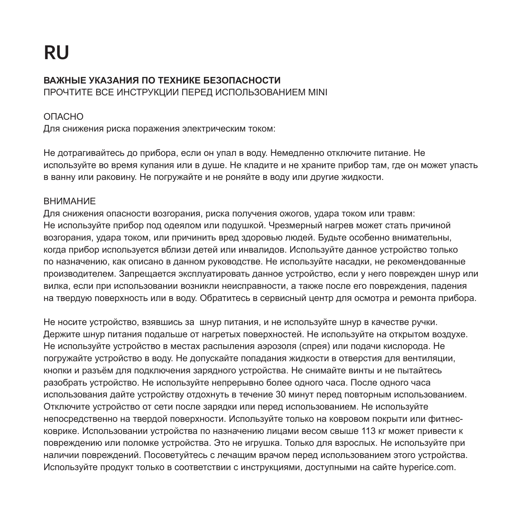#### **ВАЖНЫЕ УКАЗАНИЯ ПО ТЕХНИКЕ БЕЗОПАСНОСТИ**  ПРОЧТИТЕ ВСЕ ИНСТРУКЦИИ ПЕРЕД ИСПОЛЬЗОВАНИЕМ MINI

### ОПАСНО

Для снижения риска поражения электрическим током:

Не дотрагивайтесь до прибора, если он упал в воду. Немедленно отключите питание. Не используйте во время купания или в душе. Не кладите и не храните прибор там, где он может упасть в ванну или раковину. Не погружайте и не роняйте в воду или другие жидкости.

### ВНИМАНИЕ

Для снижения опасности возгорания, риска получения ожогов, удара током или травм: Не используйте прибор под одеялом или подушкой. Чрезмерный нагрев может стать причиной возгорания, удара током, или причинить вред здоровью людей. Будьте особенно внимательны, когда прибор используется вблизи детей или инвалидов. Используйте данное устройство только по назначению, как описано в данном руководстве. Не используйте насадки, не рекомендованные производителем. Запрещается эксплуатировать данное устройство, если у него поврежден шнур или вилка, если при использовании возникли неисправности, а также после его повреждения, падения на твердую поверхность или в воду. Обратитесь в сервисный центр для осмотра и ремонта прибора.

Не носите устройство, взявшись за шнур питания, и не используйте шнур в качестве ручки. Держите шнур питания подальше от нагретых поверхностей. Не используйте на открытом воздухе. Не используйте устройство в местах распыления аэрозоля (спрея) или подачи кислорода. Не погружайте устройство в воду. Не допускайте попадания жидкости в отверстия для вентиляции, кнопки и разъём для подключения зарядного устройства. Не снимайте винты и не пытайтесь разобрать устройство. Не используйте непрерывно более одного часа. После одного часа использования дайте устройству отдохнуть в течение 30 минут перед повторным использованием. Отключите устройство от сети после зарядки или перед использованием. Не используйте непосредственно на твердой поверхности. Используйте только на ковровом покрыти или фитнесковрике. Использовании устройства по назначению лицами весом свыше 113 кг может привести к повреждению или поломке устройства. Это не игрушка. Только для взрослых. Не используйте при наличии повреждений. Посоветуйтесь с лечащим врачом перед использованием этого устройства. Используйте продукт только в соответствии с инструкциями, доступными на сайте hyperice.com.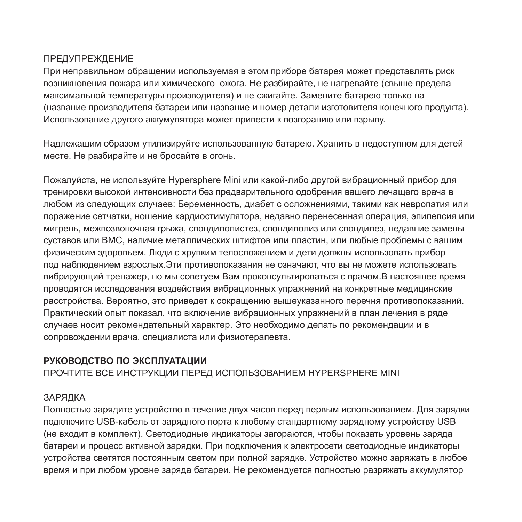### ПРЕДУПРЕЖДЕНИЕ

При неправильном обращении используемая в этом приборе батарея может представлять риск возникновения пожара или химического ожога. Не разбирайте, не нагревайте (свыше предела максимальной температуры производителя) и не сжигайте. Замените батарею только на (название производителя батареи или название и номер детали изготовителя конечного продукта). Использование другого аккумулятора может привести к возгоранию или взрыву.

Надлежащим образом утилизируйте использованную батарею. Хранить в недоступном для детей месте. Не разбирайте и не бросайте в огонь.

Пожалуйста, не используйте Hypersphere Mini или какой-либо другой вибрационный прибор для тренировки высокой интенсивности без предварительного одобрения вашего лечащего врача в любом из следующих случаев: Беременность, диабет с осложнениями, такими как невропатия или поражение сетчатки, ношение кардиостимулятора, недавно перенесенная операция, эпилепсия или мигрень, межпозвоночная грыжа, спондилолистез, спондилолиз или спондилез, недавние замены суставов или ВМС, наличие металлических штифтов или пластин, или любые проблемы с вашим физическим здоровьем. Люди с хрупким телосложением и дети должны использовать прибор под наблюдением взрослых.Эти противопоказания не означают, что вы не можете использовать вибрирующий тренажер, но мы советуем Вам проконсультироваться с врачом.В настоящее время проводятся исследования воздействия вибрационных упражнений на конкретные медицинские расстройства. Вероятно, это приведет к сокращению вышеуказанного перечня противопоказаний. Практический опыт показал, что включение вибрационных упражнений в план лечения в ряде случаев носит рекомендательный характер. Это необходимо делать по рекомендации и в сопровождении врача, специалиста или физиотерапевта.

# **РУКОВОДСТВО ПО ЭКСПЛУАТАЦИИ**

ПРОЧТИТЕ ВСЕ ИНСТРУКЦИИ ПЕРЕД ИСПОЛЬЗОВАНИЕМ HYPERSPHERE MINI

# ЗАРЯДКА

Полностью зарядите устройство в течение двух часов перед первым использованием. Для зарядки подключите USB-кабель от зарядного порта к любому стандартному зарядному устройству USB (не входит в комплект). Светодиодные индикаторы загораются, чтобы показать уровень заряда батареи и процесс активной зарядки. При подключения к электросети светодиодные индикаторы устройства светятся постоянным светом при полной зарядке. Устройство можно заряжать в любое время и при любом уровне заряда батареи. Не рекомендуется полностью разряжать аккумулятор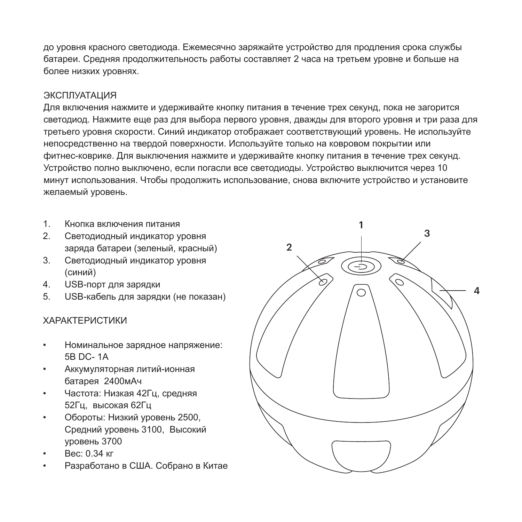до уровня красного светодиода. Ежемесячно заряжайте устройство для продления срока службы батареи. Средняя продолжительность работы составляет 2 часа на третьем уровне и больше на более низких уровнях.

#### ЭКСПЛУАТАЦИЯ

Для включения нажмите и удерживайте кнопку питания в течение трех секунд, пока не загорится светодиод. Нажмите еще раз для выбора первого уровня, дважды для второго уровня и три раза для третьего уровня скорости. Синий индикатор отображает соответствующий уровень. Не используйте непосредственно на твердой поверхности. Используйте только на ковровом покрытии или фитнес-коврике. Для выключения нажмите и удерживайте кнопку питания в течение трех секунд. Устройство полно выключено, если погасли все светодиоды. Устройство выключится через 10 минут использования. Чтобы продолжить использование, снова включите устройство и установите желаемый уровень.

- 1. Кнопка включения питания
- 2. Светодиодный индикатор уровня заряда батареи (зеленый, красный)
- 3. Светодиодный индикатор уровня (синий)
- 4. USB-порт для зарядки
- 5. USB-кабель для зарядки (не показан)

### ХАРАКТЕРИСТИКИ

- Номинальное зарядное напряжение: 5В DC- 1А
- Аккумуляторная литий-ионная батарея 2400мАч
- Частота: Низкая 42Гц, средняя 52Гц, высокая 62Гц
- Обороты: Низкий уровень 2500, Средний уровень 3100, Высокий уровень 3700
- Вес: 0.34 кг
- Разработано в США. Собрано в Китае

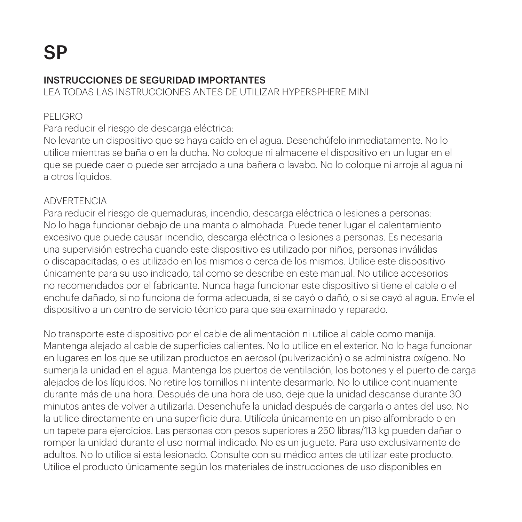### INSTRUCCIONES DE SEGURIDAD IMPORTANTES

LEA TODAS LAS INSTRUCCIONES ANTES DE UTILIZAR HYPERSPHERE MINI

### PELIGRO

### Para reducir el riesgo de descarga eléctrica:

No levante un dispositivo que se haya caído en el agua. Desenchúfelo inmediatamente. No lo utilice mientras se baña o en la ducha. No coloque ni almacene el dispositivo en un lugar en el que se puede caer o puede ser arrojado a una bañera o lavabo. No lo coloque ni arroje al agua ni a otros líquidos.

### ADVERTENCIA

Para reducir el riesgo de quemaduras, incendio, descarga eléctrica o lesiones a personas: No lo haga funcionar debajo de una manta o almohada. Puede tener lugar el calentamiento excesivo que puede causar incendio, descarga eléctrica o lesiones a personas. Es necesaria una supervisión estrecha cuando este dispositivo es utilizado por niños, personas inválidas o discapacitadas, o es utilizado en los mismos o cerca de los mismos. Utilice este dispositivo únicamente para su uso indicado, tal como se describe en este manual. No utilice accesorios no recomendados por el fabricante. Nunca haga funcionar este dispositivo si tiene el cable o el enchufe dañado, si no funciona de forma adecuada, si se cayó o dañó, o si se cayó al agua. Envíe el dispositivo a un centro de servicio técnico para que sea examinado y reparado.

No transporte este dispositivo por el cable de alimentación ni utilice al cable como manija. Mantenga alejado al cable de superficies calientes. No lo utilice en el exterior. No lo haga funcionar en lugares en los que se utilizan productos en aerosol (pulverización) o se administra oxígeno. No sumerja la unidad en el agua. Mantenga los puertos de ventilación, los botones y el puerto de carga alejados de los líquidos. No retire los tornillos ni intente desarmarlo. No lo utilice continuamente durante más de una hora. Después de una hora de uso, deje que la unidad descanse durante 30 minutos antes de volver a utilizarla. Desenchufe la unidad después de cargarla o antes del uso. No la utilice directamente en una superficie dura. Utilícela únicamente en un piso alfombrado o en un tapete para ejercicios. Las personas con pesos superiores a 250 libras/113 kg pueden dañar o romper la unidad durante el uso normal indicado. No es un juguete. Para uso exclusivamente de adultos. No lo utilice si está lesionado. Consulte con su médico antes de utilizar este producto. Utilice el producto únicamente según los materiales de instrucciones de uso disponibles en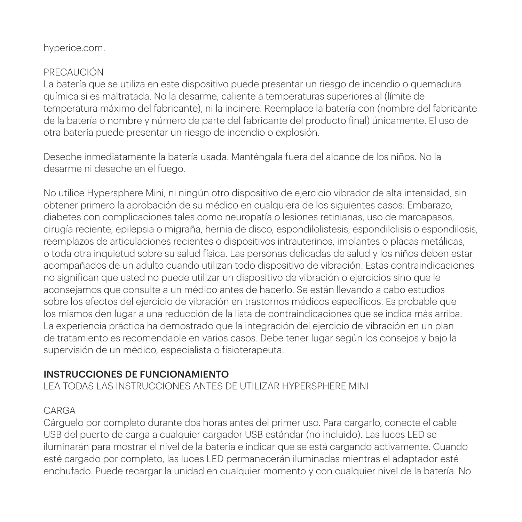### hyperice.com.

### PRECAUCIÓN

La batería que se utiliza en este dispositivo puede presentar un riesgo de incendio o quemadura química si es maltratada. No la desarme, caliente a temperaturas superiores al (límite de temperatura máximo del fabricante), ni la incinere. Reemplace la batería con (nombre del fabricante de la batería o nombre y número de parte del fabricante del producto final) únicamente. El uso de otra batería puede presentar un riesgo de incendio o explosión.

Deseche inmediatamente la batería usada. Manténgala fuera del alcance de los niños. No la desarme ni deseche en el fuego.

No utilice Hypersphere Mini, ni ningún otro dispositivo de ejercicio vibrador de alta intensidad, sin obtener primero la aprobación de su médico en cualquiera de los siguientes casos: Embarazo, diabetes con complicaciones tales como neuropatía o lesiones retinianas, uso de marcapasos, cirugía reciente, epilepsia o migraña, hernia de disco, espondilolistesis, espondilolisis o espondilosis, reemplazos de articulaciones recientes o dispositivos intrauterinos, implantes o placas metálicas, o toda otra inquietud sobre su salud física. Las personas delicadas de salud y los niños deben estar acompañados de un adulto cuando utilizan todo dispositivo de vibración. Estas contraindicaciones no significan que usted no puede utilizar un dispositivo de vibración o ejercicios sino que le aconsejamos que consulte a un médico antes de hacerlo. Se están llevando a cabo estudios sobre los efectos del ejercicio de vibración en trastornos médicos específicos. Es probable que los mismos den lugar a una reducción de la lista de contraindicaciones que se indica más arriba. La experiencia práctica ha demostrado que la integración del ejercicio de vibración en un plan de tratamiento es recomendable en varios casos. Debe tener lugar según los consejos y bajo la supervisión de un médico, especialista o fisioterapeuta.

### INSTRUCCIONES DE FUNCIONAMIENTO

LEA TODAS LAS INSTRUCCIONES ANTES DE UTILIZAR HYPERSPHERE MINI

### CARGA

Cárguelo por completo durante dos horas antes del primer uso. Para cargarlo, conecte el cable USB del puerto de carga a cualquier cargador USB estándar (no incluido). Las luces LED se iluminarán para mostrar el nivel de la batería e indicar que se está cargando activamente. Cuando esté cargado por completo, las luces LED permanecerán iluminadas mientras el adaptador esté enchufado. Puede recargar la unidad en cualquier momento y con cualquier nivel de la batería. No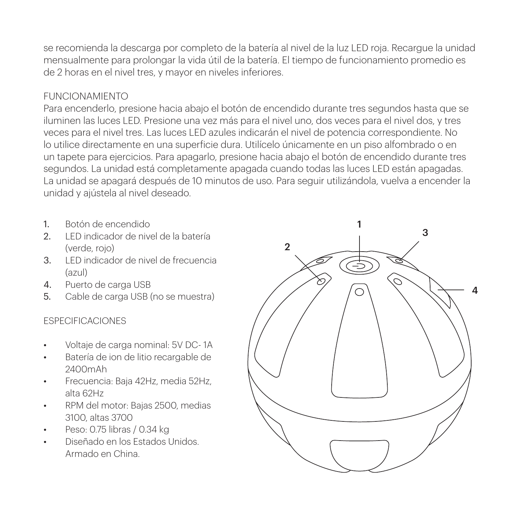se recomienda la descarga por completo de la batería al nivel de la luz LED roja. Recargue la unidad mensualmente para prolongar la vida útil de la batería. El tiempo de funcionamiento promedio es de 2 horas en el nivel tres, y mayor en niveles inferiores.

### FUNCIONAMIENTO

Para encenderlo, presione hacia abajo el botón de encendido durante tres segundos hasta que se iluminen las luces LED. Presione una vez más para el nivel uno, dos veces para el nivel dos, y tres veces para el nivel tres. Las luces LED azules indicarán el nivel de potencia correspondiente. No lo utilice directamente en una superficie dura. Utilícelo únicamente en un piso alfombrado o en un tapete para ejercicios. Para apagarlo, presione hacia abajo el botón de encendido durante tres segundos. La unidad está completamente apagada cuando todas las luces LED están apagadas. La unidad se apagará después de 10 minutos de uso. Para seguir utilizándola, vuelva a encender la unidad y ajústela al nivel deseado.

- 1. Botón de encendido
- 2. LED indicador de nivel de la batería (verde, rojo)
- 3. LED indicador de nivel de frecuencia (azul)
- 4. Puerto de carga USB
- 5. Cable de carga USB (no se muestra)

### ESPECIFICACIONES

- Voltaje de carga nominal: 5V DC- 1A
- Batería de ion de litio recargable de 2400mAh
- Frecuencia: Baja 42Hz, media 52Hz, alta 62Hz
- RPM del motor: Bajas 2500, medias 3100, altas 3700
- Peso: 0.75 libras / 0.34 kg
- Diseñado en los Estados Unidos. Armado en China.

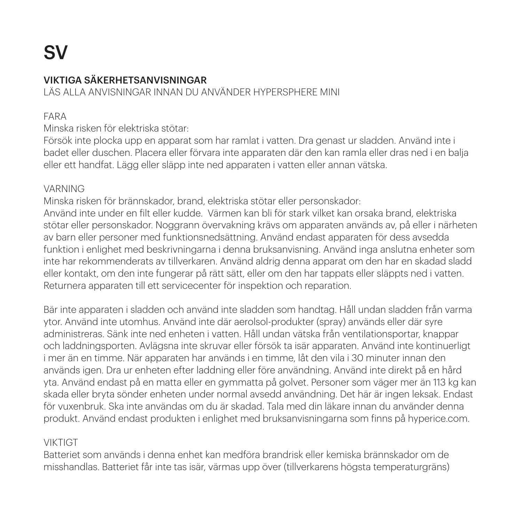# SV

# VIKTIGA SÄKERHETSANVISNINGAR

LÄS ALLA ANVISNINGAR INNAN DU ANVÄNDER HYPERSPHERE MINI

## FARA

Minska risken för elektriska stötar:

Försök inte plocka upp en apparat som har ramlat i vatten. Dra genast ur sladden. Använd inte i badet eller duschen. Placera eller förvara inte apparaten där den kan ramla eller dras ned i en balja eller ett handfat. Lägg eller släpp inte ned apparaten i vatten eller annan vätska.

### VARNING

Minska risken för brännskador, brand, elektriska stötar eller personskador: Använd inte under en filt eller kudde. Värmen kan bli för stark vilket kan orsaka brand, elektriska stötar eller personskador. Noggrann övervakning krävs om apparaten används av, på eller i närheten av barn eller personer med funktionsnedsättning. Använd endast apparaten för dess avsedda funktion i enlighet med beskrivningarna i denna bruksanvisning. Använd inga anslutna enheter som inte har rekommenderats av tillverkaren. Använd aldrig denna apparat om den har en skadad sladd eller kontakt, om den inte fungerar på rätt sätt, eller om den har tappats eller släppts ned i vatten. Returnera apparaten till ett servicecenter för inspektion och reparation.

Bär inte apparaten i sladden och använd inte sladden som handtag. Håll undan sladden från varma ytor. Använd inte utomhus. Använd inte där aerolsol-produkter (spray) används eller där syre administreras. Sänk inte ned enheten i vatten. Håll undan vätska från ventilationsportar, knappar och laddningsporten. Avlägsna inte skruvar eller försök ta isär apparaten. Använd inte kontinuerligt i mer än en timme. När apparaten har används i en timme, låt den vila i 30 minuter innan den används igen. Dra ur enheten efter laddning eller före användning. Använd inte direkt på en hård yta. Använd endast på en matta eller en gymmatta på golvet. Personer som väger mer än 113 kg kan skada eller bryta sönder enheten under normal avsedd användning. Det här är ingen leksak. Endast för vuxenbruk. Ska inte användas om du är skadad. Tala med din läkare innan du använder denna produkt. Använd endast produkten i enlighet med bruksanvisningarna som finns på hyperice.com.

# VIKTIGT

Batteriet som används i denna enhet kan medföra brandrisk eller kemiska brännskador om de misshandlas. Batteriet får inte tas isär, värmas upp över (tillverkarens högsta temperaturgräns)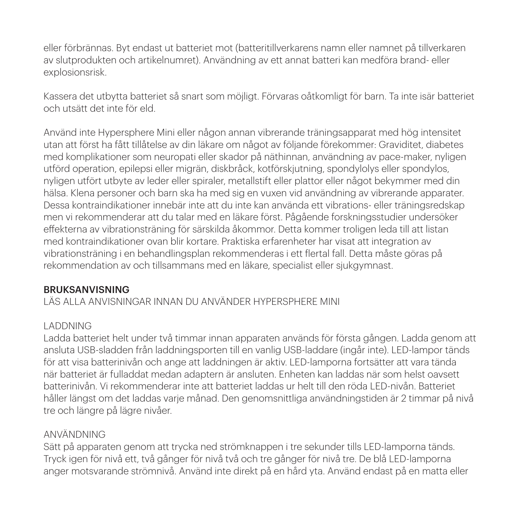eller förbrännas. Byt endast ut batteriet mot (batteritillverkarens namn eller namnet på tillverkaren av slutprodukten och artikelnumret). Användning av ett annat batteri kan medföra brand- eller explosionsrisk.

Kassera det utbytta batteriet så snart som möjligt. Förvaras oåtkomligt för barn. Ta inte isär batteriet och utsätt det inte för eld.

Använd inte Hypersphere Mini eller någon annan vibrerande träningsapparat med hög intensitet utan att först ha fått tillåtelse av din läkare om något av följande förekommer: Graviditet, diabetes med komplikationer som neuropati eller skador på näthinnan, användning av pace-maker, nyligen utförd operation, epilepsi eller migrän, diskbråck, kotförskjutning, spondylolys eller spondylos, nyligen utfört utbyte av leder eller spiraler, metallstift eller plattor eller något bekymmer med din hälsa. Klena personer och barn ska ha med sig en vuxen vid användning av vibrerande apparater. Dessa kontraindikationer innebär inte att du inte kan använda ett vibrations- eller träningsredskap men vi rekommenderar att du talar med en läkare först. Pågående forskningsstudier undersöker effekterna av vibrationsträning för särskilda åkommor. Detta kommer troligen leda till att listan med kontraindikationer ovan blir kortare. Praktiska erfarenheter har visat att integration av vibrationsträning i en behandlingsplan rekommenderas i ett flertal fall. Detta måste göras på rekommendation av och tillsammans med en läkare, specialist eller sjukgymnast.

### BRUKSANVISNING

LÄS ALLA ANVISNINGAR INNAN DU ANVÄNDER HYPERSPHERE MINI

### LADDNING

Ladda batteriet helt under två timmar innan apparaten används för första gången. Ladda genom att ansluta USB-sladden från laddningsporten till en vanlig USB-laddare (ingår inte). LED-lampor tänds för att visa batterinivån och ange att laddningen är aktiv. LED-lamporna fortsätter att vara tända när batteriet är fulladdat medan adaptern är ansluten. Enheten kan laddas när som helst oavsett batterinivån. Vi rekommenderar inte att batteriet laddas ur helt till den röda LED-nivån. Batteriet håller längst om det laddas varje månad. Den genomsnittliga användningstiden är 2 timmar på nivå tre och längre på lägre nivåer.

### ANVÄNDNING

Sätt på apparaten genom att trycka ned strömknappen i tre sekunder tills LED-lamporna tänds. Tryck igen för nivå ett, två gånger för nivå två och tre gånger för nivå tre. De blå LED-lamporna anger motsvarande strömnivå. Använd inte direkt på en hård yta. Använd endast på en matta eller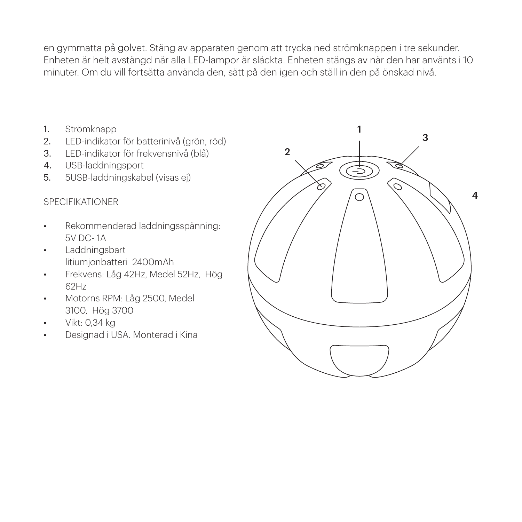en gymmatta på golvet. Stäng av apparaten genom att trycka ned strömknappen i tre sekunder. Enheten är helt avstängd när alla LED-lampor är släckta. Enheten stängs av när den har använts i 10 minuter. Om du vill fortsätta använda den, sätt på den igen och ställ in den på önskad nivå.

- 1. Strömknapp
- 2. LED-indikator för batterinivå (grön, röd)
- 3. LED-indikator för frekvensnivå (blå)
- 4. USB-laddningsport
- 5. 5USB-laddningskabel (visas ej)

### SPECIFIKATIONER

- Rekommenderad laddningsspänning: 5V DC- 1A
- Laddningsbart litiumjonbatteri 2400mAh
- Frekvens: Låg 42Hz, Medel 52Hz, Hög 62Hz
- Motorns RPM: Låg 2500, Medel 3100, Hög 3700
- Vikt: 0,34 kg
- Designad i USA. Monterad i Kina